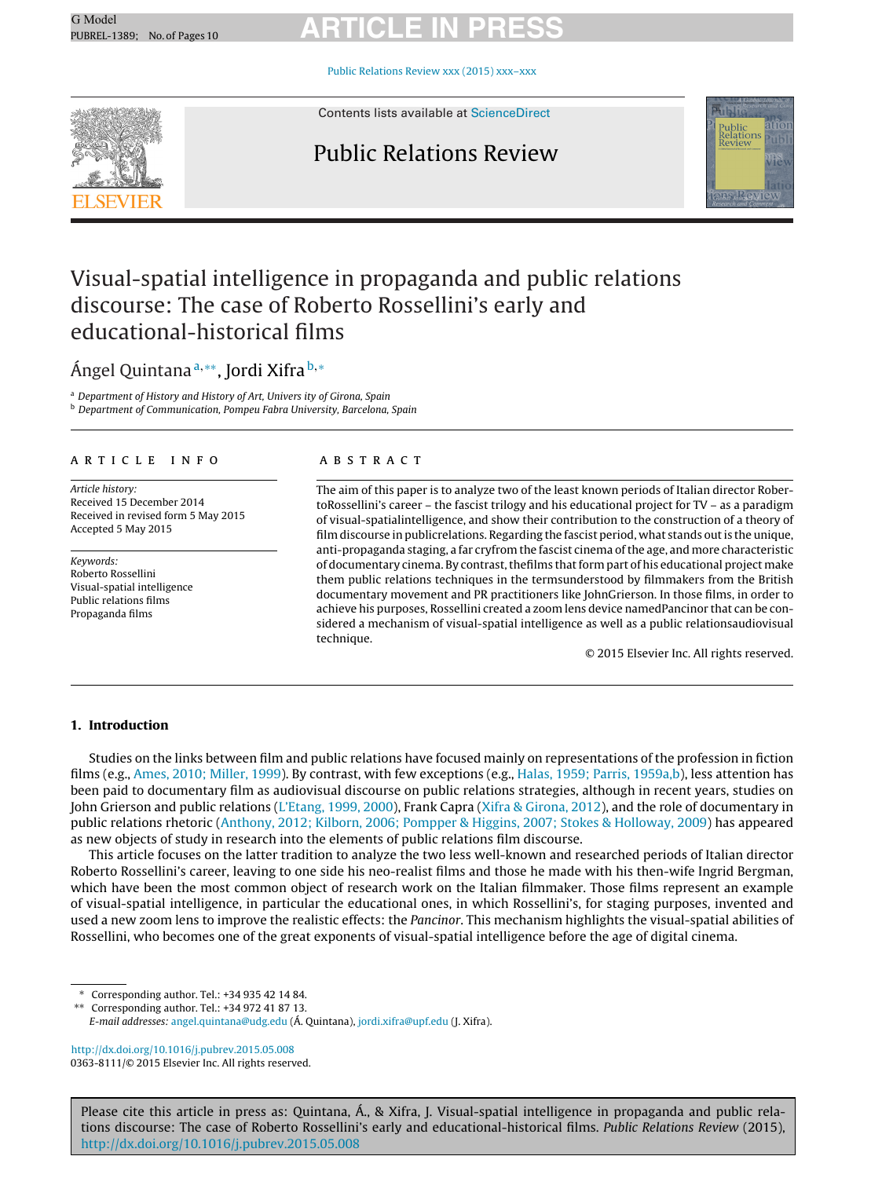Public [Relations](dx.doi.org/10.1016/j.pubrev.2015.05.008) Review xxx (2015) xxx–xxx



Contents lists available at [ScienceDirect](http://www.sciencedirect.com/science/journal/03638111)

### Public Relations Review



### Visual-spatial intelligence in propaganda and public relations discourse: The case of Roberto Rossellini's early and educational-historical films

### Ángel Quintana<sup>a</sup>,∗∗, Jordi Xifra <sup>b</sup>,<sup>∗</sup>

a Department of History and History of Art, Univers ity of Girona, Spain **b** Department of Communication, Pompeu Fabra University, Barcelona, Spain

#### a r t i c l e i n f o

Article history: Received 15 December 2014 Received in revised form 5 May 2015 Accepted 5 May 2015

Keywords: Roberto Rossellini Visual-spatial intelligence Public relations films Propaganda films

### A B S T R A C T

The aim of this paper is to analyze two of the least known periods of Italian director RobertoRossellini's career – the fascist trilogy and his educational project for TV – as a paradigm of visual-spatialintelligence, and show their contribution to the construction of a theory of film discourse in publicrelations. Regarding the fascist period, what stands outis the unique, anti-propaganda staging, a far cryfrom the fascist cinema ofthe age, and more characteristic of documentary cinema. By contrast, thefilms that form part of his educational project make them public relations techniques in the termsunderstood by filmmakers from the British documentary movement and PR practitioners like JohnGrierson. In those films, in order to achieve his purposes, Rossellini created a zoom lens device namedPancinor that can be considered a mechanism of visual-spatial intelligence as well as a public relationsaudiovisual technique.

© 2015 Elsevier Inc. All rights reserved.

#### **1. Introduction**

Studies on the links between film and public relations have focused mainly on representations of the profession in fiction films (e.g., [Ames,](#page-8-0) [2010;](#page-8-0) [Miller,](#page-8-0) [1999\).](#page-8-0) By contrast, with few exceptions (e.g., [Halas,](#page-8-0) [1959;](#page-8-0) [Parris,](#page-8-0) [1959a,b\),](#page-8-0) less attention has been paid to documentary film as audiovisual discourse on public relations strategies, although in recent years, studies on John Grierson and public relations [\(L'Etang,](#page-8-0) [1999,](#page-8-0) [2000\),](#page-8-0) Frank Capra [\(Xifra](#page-9-0) [&](#page-9-0) [Girona,](#page-9-0) [2012\),](#page-9-0) and the role of documentary in public relations rhetoric ([Anthony,](#page-8-0) [2012;](#page-8-0) [Kilborn,](#page-8-0) [2006;](#page-8-0) [Pompper](#page-8-0) [&](#page-8-0) [Higgins,](#page-8-0) [2007;](#page-8-0) [Stokes](#page-8-0) [&](#page-8-0) [Holloway,](#page-8-0) [2009\)](#page-8-0) has appeared as new objects of study in research into the elements of public relations film discourse.

This article focuses on the latter tradition to analyze the two less well-known and researched periods of Italian director Roberto Rossellini's career, leaving to one side his neo-realist films and those he made with his then-wife Ingrid Bergman, which have been the most common object of research work on the Italian filmmaker. Those films represent an example of visual-spatial intelligence, in particular the educational ones, in which Rossellini's, for staging purposes, invented and used a new zoom lens to improve the realistic effects: the Pancinor. This mechanism highlights the visual-spatial abilities of Rossellini, who becomes one of the great exponents of visual-spatial intelligence before the age of digital cinema.

E-mail addresses: [angel.quintana@udg.edu](mailto:angel.quintana@udg.edu) (Á. Quintana), [jordi.xifra@upf.edu](mailto:jordi.xifra@upf.edu) (J. Xifra).

[http://dx.doi.org/10.1016/j.pubrev.2015.05.008](dx.doi.org/10.1016/j.pubrev.2015.05.008) 0363-8111/© 2015 Elsevier Inc. All rights reserved.

<sup>∗</sup> Corresponding author. Tel.: +34 935 42 14 84.

<sup>∗∗</sup> Corresponding author. Tel.: +34 972 41 87 13.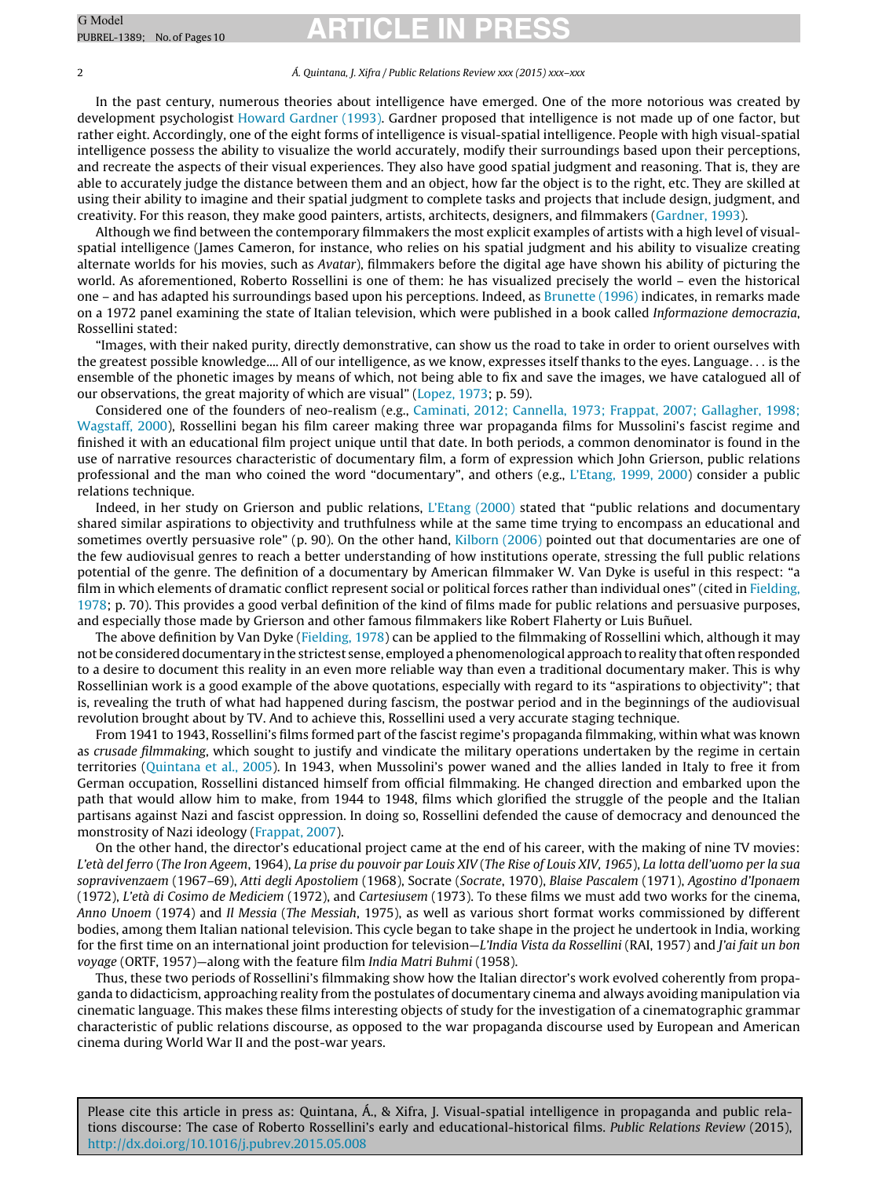#### 2 Á. Quintana, J. Xifra / Public Relations Review xxx (2015) xxx–xxx

In the past century, numerous theories about intelligence have emerged. One of the more notorious was created by development psychologist [Howard](#page-8-0) [Gardner](#page-8-0) [\(1993\).](#page-8-0) Gardner proposed that intelligence is not made up of one factor, but rather eight. Accordingly, one of the eight forms of intelligence is visual-spatial intelligence. People with high visual-spatial intelligence possess the ability to visualize the world accurately, modify their surroundings based upon their perceptions, and recreate the aspects of their visual experiences. They also have good spatial judgment and reasoning. That is, they are able to accurately judge the distance between them and an object, how far the object is to the right, etc. They are skilled at using their ability to imagine and their spatial judgment to complete tasks and projects that include design, judgment, and creativity. For this reason, they make good painters, artists, architects, designers, and filmmakers [\(Gardner,](#page-8-0) [1993\).](#page-8-0)

Although we find between the contemporary filmmakers the most explicit examples of artists with a high level of visualspatial intelligence (James Cameron, for instance, who relies on his spatial judgment and his ability to visualize creating alternate worlds for his movies, such as Avatar), filmmakers before the digital age have shown his ability of picturing the world. As aforementioned, Roberto Rossellini is one of them: he has visualized precisely the world – even the historical one – and has adapted his surroundings based upon his perceptions. Indeed, as [Brunette](#page-8-0) [\(1996\)](#page-8-0) indicates, in remarks made on a 1972 panel examining the state of Italian television, which were published in a book called Informazione democrazia, Rossellini stated:

"Images, with their naked purity, directly demonstrative, can show us the road to take in order to orient ourselves with the greatest possible knowledge.... All of our intelligence, as we know, expresses itself thanks to the eyes. Language. . . is the ensemble of the phonetic images by means of which, not being able to fix and save the images, we have catalogued all of our observations, the great majority of which are visual" ([Lopez,](#page-8-0) [1973;](#page-8-0) p. 59).

Considered one of the founders of neo-realism (e.g., [Caminati,](#page-8-0) [2012;](#page-8-0) [Cannella,](#page-8-0) [1973;](#page-8-0) [Frappat,](#page-8-0) [2007;](#page-8-0) [Gallagher,](#page-8-0) [1998;](#page-8-0) [Wagstaff,](#page-8-0) [2000\),](#page-8-0) Rossellini began his film career making three war propaganda films for Mussolini's fascist regime and finished it with an educational film project unique until that date. In both periods, a common denominator is found in the use of narrative resources characteristic of documentary film, a form of expression which John Grierson, public relations professional and the man who coined the word "documentary", and others (e.g., [L'Etang,](#page-8-0) [1999,](#page-8-0) [2000\)](#page-8-0) consider a public relations technique.

Indeed, in her study on Grierson and public relations, [L'Etang](#page-8-0) [\(2000\)](#page-8-0) stated that "public relations and documentary shared similar aspirations to objectivity and truthfulness while at the same time trying to encompass an educational and sometimes overtly persuasive role" (p. 90). On the other hand, [Kilborn](#page-8-0) [\(2006\)](#page-8-0) pointed out that documentaries are one of the few audiovisual genres to reach a better understanding of how institutions operate, stressing the full public relations potential of the genre. The definition of a documentary by American filmmaker W. Van Dyke is useful in this respect: "a film in which elements of dramatic conflict represent social or political forces rather than individual ones" (cited in [Fielding,](#page-8-0) [1978;](#page-8-0) p. 70). This provides a good verbal definition of the kind of films made for public relations and persuasive purposes, and especially those made by Grierson and other famous filmmakers like Robert Flaherty or Luis Buñuel.

The above definition by Van Dyke ([Fielding,](#page-8-0) [1978\)](#page-8-0) can be applied to the filmmaking of Rossellini which, although it may not be considered documentary in the strictest sense, employed a phenomenological approach to reality that often responded to a desire to document this reality in an even more reliable way than even a traditional documentary maker. This is why Rossellinian work is a good example of the above quotations, especially with regard to its "aspirations to objectivity"; that is, revealing the truth of what had happened during fascism, the postwar period and in the beginnings of the audiovisual revolution brought about by TV. And to achieve this, Rossellini used a very accurate staging technique.

From 1941 to 1943, Rossellini's films formed part of the fascist regime's propaganda filmmaking, within what was known as crusade filmmaking, which sought to justify and vindicate the military operations undertaken by the regime in certain territories ([Quintana](#page-9-0) et [al.,](#page-9-0) [2005\).](#page-9-0) In 1943, when Mussolini's power waned and the allies landed in Italy to free it from German occupation, Rossellini distanced himself from official filmmaking. He changed direction and embarked upon the path that would allow him to make, from 1944 to 1948, films which glorified the struggle of the people and the Italian partisans against Nazi and fascist oppression. In doing so, Rossellini defended the cause of democracy and denounced the monstrosity of Nazi ideology ([Frappat,](#page-8-0) [2007\).](#page-8-0)

On the other hand, the director's educational project came at the end of his career, with the making of nine TV movies: L'età del ferro (The Iron Ageem, 1964), La prise du pouvoir par Louis XIV (The Rise of Louis XIV, 1965), La lotta dell'uomo per la sua sopravivenzaem (1967–69), Atti degli Apostoliem (1968), Socrate (Socrate, 1970), Blaise Pascalem (1971), Agostino d'Iponaem (1972), L'età di Cosimo de Mediciem (1972), and Cartesiusem (1973). To these films we must add two works for the cinema, Anno Unoem (1974) and Il Messia (The Messiah, 1975), as well as various short format works commissioned by different bodies, among them Italian national television. This cycle began to take shape in the project he undertook in India, working for the first time on an international joint production for television—L'India Vista da Rossellini (RAI, 1957) and J'ai fait un bon voyage (ORTF, 1957)—along with the feature film India Matri Buhmi (1958).

Thus, these two periods of Rossellini's filmmaking show how the Italian director's work evolved coherently from propaganda to didacticism, approaching reality from the postulates of documentary cinema and always avoiding manipulation via cinematic language. This makes these films interesting objects of study for the investigation of a cinematographic grammar characteristic of public relations discourse, as opposed to the war propaganda discourse used by European and American cinema during World War II and the post-war years.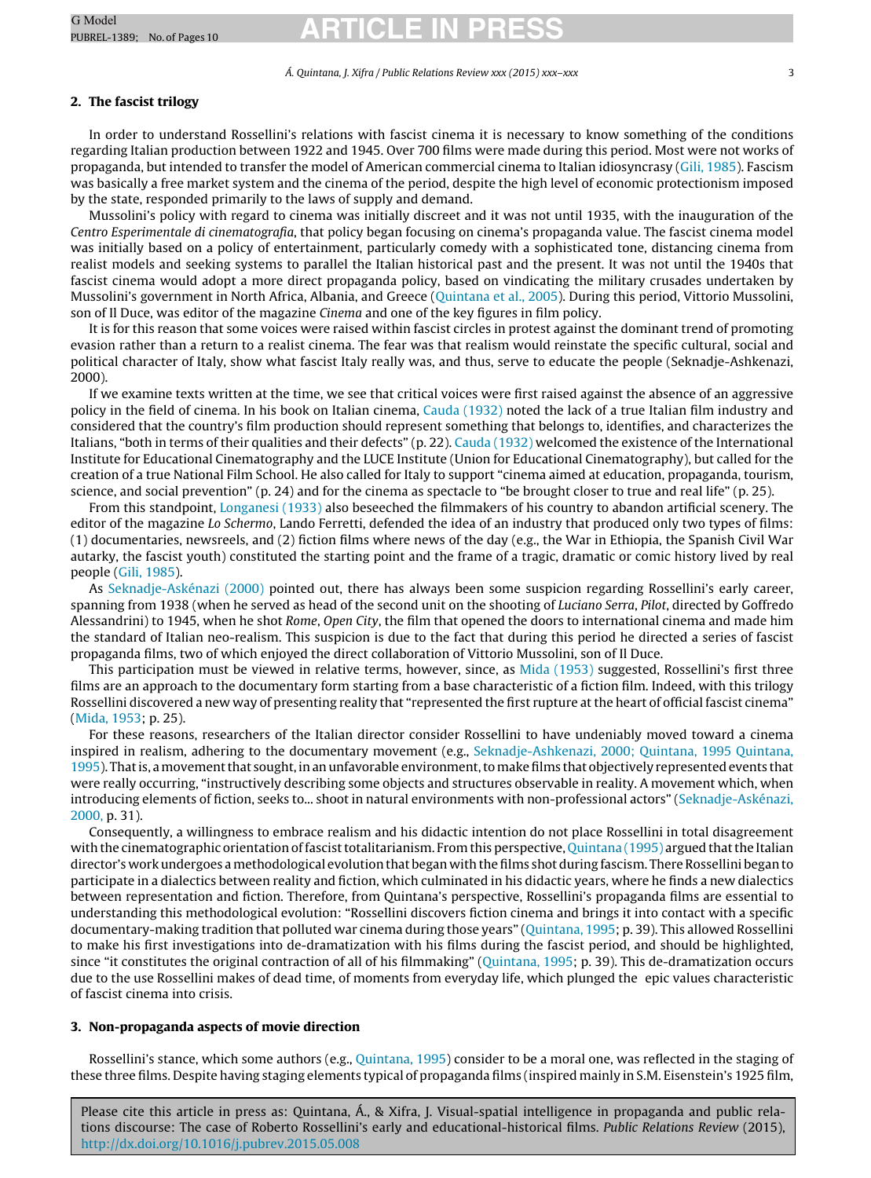### **2. The fascist trilogy**

In order to understand Rossellini's relations with fascist cinema it is necessary to know something of the conditions regarding Italian production between 1922 and 1945. Over 700 films were made during this period. Most were not works of propaganda, but intended to transfer the model of American commercial cinema to Italian idiosyncrasy [\(Gili,](#page-8-0) [1985\).](#page-8-0) Fascism was basically a free market system and the cinema of the period, despite the high level of economic protectionism imposed by the state, responded primarily to the laws of supply and demand.

Mussolini's policy with regard to cinema was initially discreet and it was not until 1935, with the inauguration of the Centro Esperimentale di cinematografia, that policy began focusing on cinema's propaganda value. The fascist cinema model was initially based on a policy of entertainment, particularly comedy with a sophisticated tone, distancing cinema from realist models and seeking systems to parallel the Italian historical past and the present. It was not until the 1940s that fascist cinema would adopt a more direct propaganda policy, based on vindicating the military crusades undertaken by Mussolini's government in North Africa, Albania, and Greece [\(Quintana](#page-9-0) et [al.,](#page-9-0) [2005\).](#page-9-0) During this period, Vittorio Mussolini, son of Il Duce, was editor of the magazine Cinema and one of the key figures in film policy.

It is for this reason that some voices were raised within fascist circles in protest against the dominant trend of promoting evasion rather than a return to a realist cinema. The fear was that realism would reinstate the specific cultural, social and political character of Italy, show what fascist Italy really was, and thus, serve to educate the people (Seknadje-Ashkenazi, 2000).

If we examine texts written at the time, we see that critical voices were first raised against the absence of an aggressive policy in the field of cinema. In his book on Italian cinema, [Cauda](#page-8-0) [\(1932\)](#page-8-0) noted the lack of a true Italian film industry and considered that the country's film production should represent something that belongs to, identifies, and characterizes the Italians, "both in terms of their qualities and their defects" (p. 22). [Cauda](#page-8-0) [\(1932\)](#page-8-0) welcomed the existence of the International Institute for Educational Cinematography and the LUCE Institute (Union for Educational Cinematography), but called for the creation of a true National Film School. He also called for Italy to support "cinema aimed at education, propaganda, tourism, science, and social prevention" (p. 24) and for the cinema as spectacle to "be brought closer to true and real life" (p. 25).

From this standpoint, [Longanesi](#page-8-0) [\(1933\)](#page-8-0) also beseeched the filmmakers of his country to abandon artificial scenery. The editor of the magazine Lo Schermo, Lando Ferretti, defended the idea of an industry that produced only two types of films: (1) documentaries, newsreels, and (2) fiction films where news of the day (e.g., the War in Ethiopia, the Spanish Civil War autarky, the fascist youth) constituted the starting point and the frame of a tragic, dramatic or comic history lived by real people ([Gili,](#page-8-0) [1985\).](#page-8-0)

As [Seknadje-Askénazi](#page-9-0) [\(2000\)](#page-9-0) pointed out, there has always been some suspicion regarding Rossellini's early career, spanning from 1938 (when he served as head of the second unit on the shooting of Luciano Serra, Pilot, directed by Goffredo Alessandrini) to 1945, when he shot Rome, Open City, the film that opened the doors to international cinema and made him the standard of Italian neo-realism. This suspicion is due to the fact that during this period he directed a series of fascist propaganda films, two of which enjoyed the direct collaboration of Vittorio Mussolini, son of Il Duce.

This participation must be viewed in relative terms, however, since, as [Mida](#page-8-0) [\(1953\)](#page-8-0) suggested, Rossellini's first three films are an approach to the documentary form starting from a base characteristic of a fiction film. Indeed, with this trilogy Rossellini discovered a new way of presenting reality that "represented the first rupture atthe heart of official fascist cinema" [\(Mida,](#page-8-0) [1953;](#page-8-0) p. 25).

For these reasons, researchers of the Italian director consider Rossellini to have undeniably moved toward a cinema inspired in realism, adhering to the documentary movement (e.g., [Seknadje-Ashkenazi,](#page-8-0) [2000;](#page-8-0) [Quintana,](#page-8-0) [1995](#page-8-0) [Quintana,](#page-8-0) [1995\).](#page-8-0) That is, a movement that sought, in an unfavorable environment, to make films that objectively represented events that were really occurring, "instructively describing some objects and structures observable in reality. A movement which, when introducing elements of fiction, seeks to... shoot in natural environments with non-professional actors" [\(Seknadje-Askénazi,](#page-9-0) [2000,](#page-9-0) p. 31).

Consequently, a willingness to embrace realism and his didactic intention do not place Rossellini in total disagreement with the cinematographic orientation of fascist totalitarianism. From this perspective, [Quintana](#page-8-0) [\(1995\)](#page-8-0) argued that the Italian director's work undergoes a methodological evolution that began with the films shot during fascism. There Rossellini began to participate in a dialectics between reality and fiction, which culminated in his didactic years, where he finds a new dialectics between representation and fiction. Therefore, from Quintana's perspective, Rossellini's propaganda films are essential to understanding this methodological evolution: "Rossellini discovers fiction cinema and brings it into contact with a specific documentary-making tradition that polluted war cinema during those years" ([Quintana,](#page-8-0) [1995;](#page-8-0) p. 39). This allowed Rossellini to make his first investigations into de-dramatization with his films during the fascist period, and should be highlighted, since "it constitutes the original contraction of all of his filmmaking" ([Quintana,](#page-8-0) [1995;](#page-8-0) p. 39). This de-dramatization occurs due to the use Rossellini makes of dead time, of moments from everyday life, which plunged the epic values characteristic of fascist cinema into crisis.

### **3. Non-propaganda aspects of movie direction**

Rossellini's stance, which some authors (e.g., [Quintana,](#page-8-0) [1995\)](#page-8-0) consider to be a moral one, was reflected in the staging of these three films. Despite having staging elements typical of propaganda films (inspired mainly in S.M. Eisenstein's 1925 film,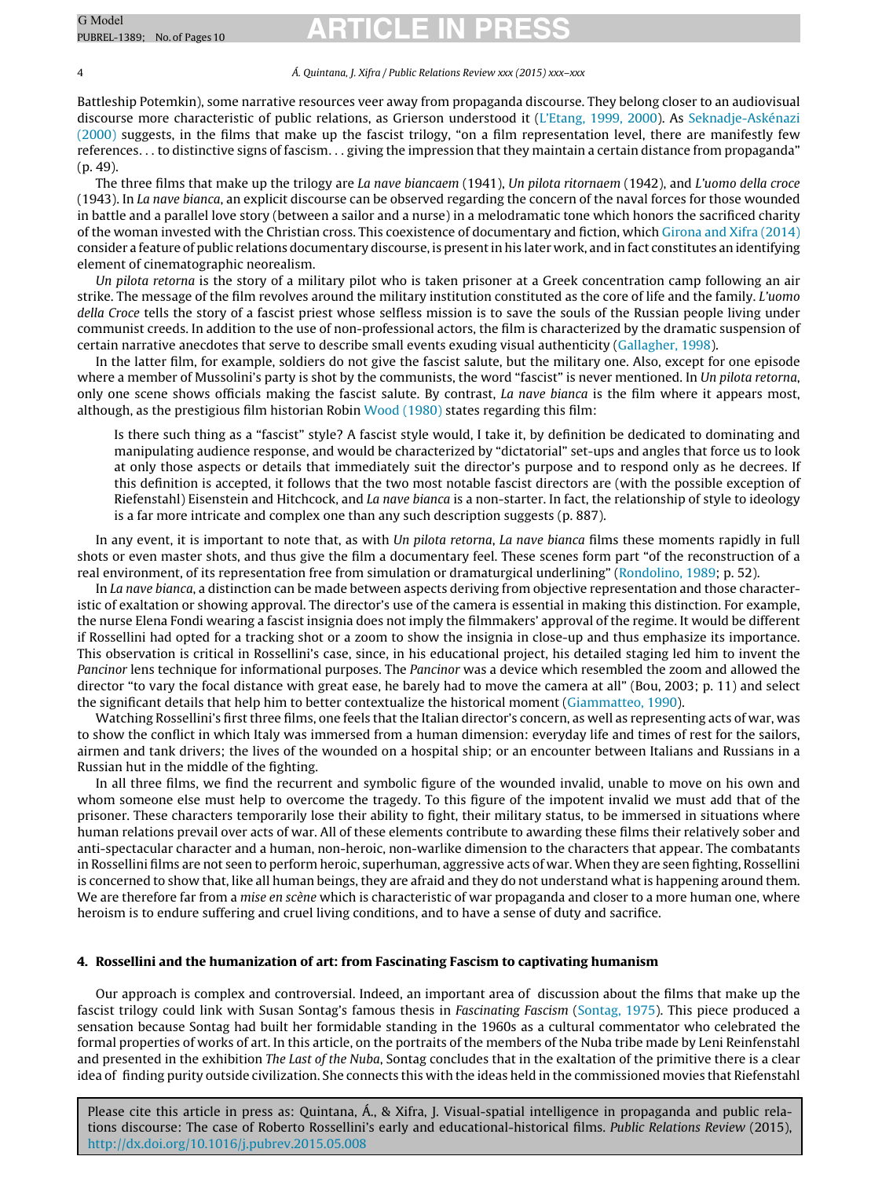#### 4 Á. Quintana, J. Xifra / Public Relations Review xxx (2015) xxx–xxx

Battleship Potemkin), some narrative resources veer away from propaganda discourse. They belong closer to an audiovisual discourse more characteristic of public relations, as Grierson understood it [\(L'Etang,](#page-8-0) [1999,](#page-8-0) [2000\).](#page-8-0) As [Seknadje-Askénazi](#page-9-0) [\(2000\)](#page-9-0) suggests, in the films that make up the fascist trilogy, "on a film representation level, there are manifestly few references. . . to distinctive signs of fascism. . . giving the impression that they maintain a certain distance from propaganda" (p. 49).

The three films that make up the trilogy are La nave biancaem (1941), Un pilota ritornaem (1942), and L'uomo della croce (1943). In La nave bianca, an explicit discourse can be observed regarding the concern of the naval forces for those wounded in battle and a parallel love story (between a sailor and a nurse) in a melodramatic tone which honors the sacrificed charity of the woman invested with the Christian cross. This coexistence of documentary and fiction, which [Girona](#page-8-0) [and](#page-8-0) [Xifra](#page-8-0) [\(2014\)](#page-8-0) consider a feature of public relations documentary discourse, is presentin his later work, and in fact constitutes an identifying element of cinematographic neorealism.

Un pilota retorna is the story of a military pilot who is taken prisoner at a Greek concentration camp following an air strike. The message of the film revolves around the military institution constituted as the core of life and the family. L'uomo della Croce tells the story of a fascist priest whose selfless mission is to save the souls of the Russian people living under communist creeds. In addition to the use of non-professional actors, the film is characterized by the dramatic suspension of certain narrative anecdotes that serve to describe small events exuding visual authenticity [\(Gallagher,](#page-8-0) [1998\).](#page-8-0)

In the latter film, for example, soldiers do not give the fascist salute, but the military one. Also, except for one episode where a member of Mussolini's party is shot by the communists, the word "fascist" is never mentioned. In Un pilota retorna, only one scene shows officials making the fascist salute. By contrast, La nave bianca is the film where it appears most, although, as the prestigious film historian Robin [Wood](#page-9-0) [\(1980\)](#page-9-0) states regarding this film:

Is there such thing as a "fascist" style? A fascist style would, I take it, by definition be dedicated to dominating and manipulating audience response, and would be characterized by "dictatorial" set-ups and angles that force us to look at only those aspects or details that immediately suit the director's purpose and to respond only as he decrees. If this definition is accepted, it follows that the two most notable fascist directors are (with the possible exception of Riefenstahl) Eisenstein and Hitchcock, and La nave bianca is a non-starter. In fact, the relationship of style to ideology is a far more intricate and complex one than any such description suggests (p. 887).

In any event, it is important to note that, as with Un pilota retorna, La nave bianca films these moments rapidly in full shots or even master shots, and thus give the film a documentary feel. These scenes form part "of the reconstruction of a real environment, of its representation free from simulation or dramaturgical underlining" ([Rondolino,](#page-9-0) [1989;](#page-9-0) p. 52).

In La nave bianca, a distinction can be made between aspects deriving from objective representation and those characteristic of exaltation or showing approval. The director's use of the camera is essential in making this distinction. For example, the nurse Elena Fondi wearing a fascist insignia does not imply the filmmakers' approval of the regime. It would be different if Rossellini had opted for a tracking shot or a zoom to show the insignia in close-up and thus emphasize its importance. This observation is critical in Rossellini's case, since, in his educational project, his detailed staging led him to invent the Pancinor lens technique for informational purposes. The Pancinor was a device which resembled the zoom and allowed the director "to vary the focal distance with great ease, he barely had to move the camera at all" (Bou, 2003; p. 11) and select the significant details that help him to better contextualize the historical moment [\(Giammatteo,](#page-8-0) [1990\).](#page-8-0)

Watching Rossellini's first three films, one feels that the Italian director's concern, as well as representing acts of war, was to show the conflict in which Italy was immersed from a human dimension: everyday life and times of rest for the sailors, airmen and tank drivers; the lives of the wounded on a hospital ship; or an encounter between Italians and Russians in a Russian hut in the middle of the fighting.

In all three films, we find the recurrent and symbolic figure of the wounded invalid, unable to move on his own and whom someone else must help to overcome the tragedy. To this figure of the impotent invalid we must add that of the prisoner. These characters temporarily lose their ability to fight, their military status, to be immersed in situations where human relations prevail over acts of war. All of these elements contribute to awarding these films their relatively sober and anti-spectacular character and a human, non-heroic, non-warlike dimension to the characters that appear. The combatants in Rossellini films are not seen to perform heroic, superhuman, aggressive acts of war. When they are seen fighting, Rossellini is concerned to show that, like all human beings, they are afraid and they do not understand what is happening around them. We are therefore far from a mise en scène which is characteristic of war propaganda and closer to a more human one, where heroism is to endure suffering and cruel living conditions, and to have a sense of duty and sacrifice.

### **4. Rossellini and the humanization of art: from Fascinating Fascism to captivating humanism**

Our approach is complex and controversial. Indeed, an important area of discussion about the films that make up the fascist trilogy could link with Susan Sontag's famous thesis in Fascinating Fascism [\(Sontag,](#page-9-0) [1975\).](#page-9-0) This piece produced a sensation because Sontag had built her formidable standing in the 1960s as a cultural commentator who celebrated the formal properties of works of art. In this article, on the portraits of the members of the Nuba tribe made by Leni Reinfenstahl and presented in the exhibition The Last of the Nuba, Sontag concludes that in the exaltation of the primitive there is a clear idea of finding purity outside civilization. She connects this with the ideas held in the commissioned movies that Riefenstahl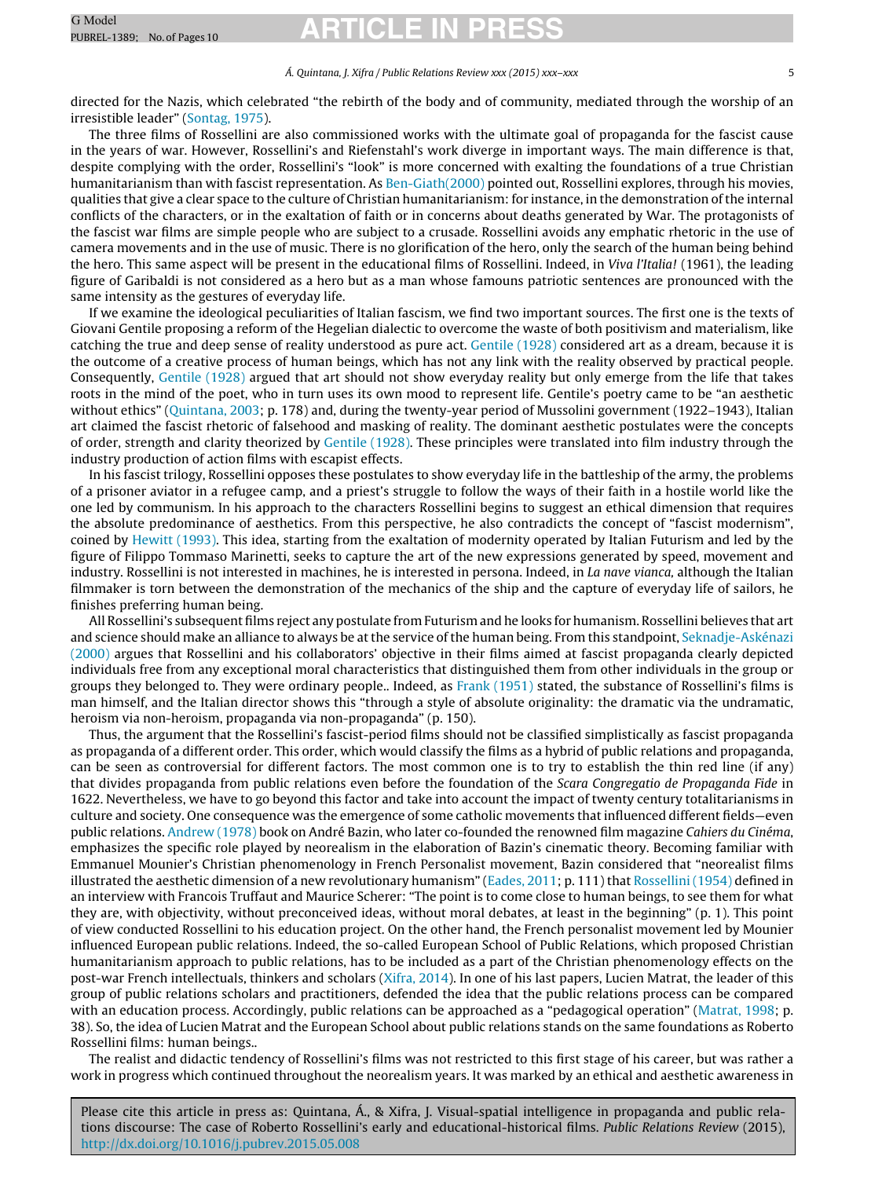directed for the Nazis, which celebrated "the rebirth of the body and of community, mediated through the worship of an irresistible leader" [\(Sontag,](#page-9-0) [1975\).](#page-9-0)

The three films of Rossellini are also commissioned works with the ultimate goal of propaganda for the fascist cause in the years of war. However, Rossellini's and Riefenstahl's work diverge in important ways. The main difference is that, despite complying with the order, Rossellini's "look" is more concerned with exalting the foundations of a true Christian humanitarianism than with fascist representation. As [Ben-Giath\(2000\)](#page-8-0) pointed out, Rossellini explores, through his movies, qualities that give a clear space to the culture of Christian humanitarianism: for instance, in the demonstration ofthe internal conflicts of the characters, or in the exaltation of faith or in concerns about deaths generated by War. The protagonists of the fascist war films are simple people who are subject to a crusade. Rossellini avoids any emphatic rhetoric in the use of camera movements and in the use of music. There is no glorification of the hero, only the search of the human being behind the hero. This same aspect will be present in the educational films of Rossellini. Indeed, in Viva l'Italia! (1961), the leading figure of Garibaldi is not considered as a hero but as a man whose famouns patriotic sentences are pronounced with the same intensity as the gestures of everyday life.

If we examine the ideological peculiarities of Italian fascism, we find two important sources. The first one is the texts of Giovani Gentile proposing a reform of the Hegelian dialectic to overcome the waste of both positivism and materialism, like catching the true and deep sense of reality understood as pure act. [Gentile](#page-8-0) [\(1928\)](#page-8-0) considered art as a dream, because it is the outcome of a creative process of human beings, which has not any link with the reality observed by practical people. Consequently, [Gentile](#page-8-0) [\(1928\)](#page-8-0) argued that art should not show everyday reality but only emerge from the life that takes roots in the mind of the poet, who in turn uses its own mood to represent life. Gentile's poetry came to be "an aesthetic without ethics" ([Quintana,](#page-8-0) [2003;](#page-8-0) p. 178) and, during the twenty-year period of Mussolini government (1922–1943), Italian art claimed the fascist rhetoric of falsehood and masking of reality. The dominant aesthetic postulates were the concepts of order, strength and clarity theorized by [Gentile](#page-8-0) [\(1928\).](#page-8-0) These principles were translated into film industry through the industry production of action films with escapist effects.

In his fascist trilogy, Rossellini opposes these postulates to show everyday life in the battleship of the army, the problems of a prisoner aviator in a refugee camp, and a priest's struggle to follow the ways of their faith in a hostile world like the one led by communism. In his approach to the characters Rossellini begins to suggest an ethical dimension that requires the absolute predominance of aesthetics. From this perspective, he also contradicts the concept of "fascist modernism", coined by [Hewitt](#page-8-0) [\(1993\).](#page-8-0) This idea, starting from the exaltation of modernity operated by Italian Futurism and led by the figure of Filippo Tommaso Marinetti, seeks to capture the art of the new expressions generated by speed, movement and industry. Rossellini is not interested in machines, he is interested in persona. Indeed, in La nave vianca, although the Italian filmmaker is torn between the demonstration of the mechanics of the ship and the capture of everyday life of sailors, he finishes preferring human being.

All Rossellini's subsequent films reject any postulate from Futurism and he looks for humanism. Rossellini believes that art and science should make an alliance to always be at the service of the human being. From this standpoint, [Seknadje-Askénazi](#page-9-0) [\(2000\)](#page-9-0) argues that Rossellini and his collaborators' objective in their films aimed at fascist propaganda clearly depicted individuals free from any exceptional moral characteristics that distinguished them from other individuals in the group or groups they belonged to. They were ordinary people.. Indeed, as [Frank](#page-8-0) [\(1951\)](#page-8-0) stated, the substance of Rossellini's films is man himself, and the Italian director shows this "through a style of absolute originality: the dramatic via the undramatic, heroism via non-heroism, propaganda via non-propaganda" (p. 150).

Thus, the argument that the Rossellini's fascist-period films should not be classified simplistically as fascist propaganda as propaganda of a different order. This order, which would classify the films as a hybrid of public relations and propaganda, can be seen as controversial for different factors. The most common one is to try to establish the thin red line (if any) that divides propaganda from public relations even before the foundation of the Scara Congregatio de Propaganda Fide in 1622. Nevertheless, we have to go beyond this factor and take into account the impact of twenty century totalitarianisms in culture and society. One consequence was the emergence of some catholic movements that influenced different fields—even public relations. [Andrew](#page-8-0) [\(1978\)](#page-8-0) book on André Bazin, who later co-founded the renowned film magazine Cahiers du Cinéma, emphasizes the specific role played by neorealism in the elaboration of Bazin's cinematic theory. Becoming familiar with Emmanuel Mounier's Christian phenomenology in French Personalist movement, Bazin considered that "neorealist films illustrated the aesthetic dimension of a new revolutionary humanism" [\(Eades,](#page-8-0) [2011;](#page-8-0) p. 111) that [Rossellini](#page-9-0) [\(1954\)](#page-9-0) defined in an interview with Francois Truffaut and Maurice Scherer: "The point is to come close to human beings, to see them for what they are, with objectivity, without preconceived ideas, without moral debates, at least in the beginning" (p. 1). This point of view conducted Rossellini to his education project. On the other hand, the French personalist movement led by Mounier influenced European public relations. Indeed, the so-called European School of Public Relations, which proposed Christian humanitarianism approach to public relations, has to be included as a part of the Christian phenomenology effects on the post-war French intellectuals, thinkers and scholars [\(Xifra,](#page-9-0) [2014\).](#page-9-0) In one of his last papers, Lucien Matrat, the leader of this group of public relations scholars and practitioners, defended the idea that the public relations process can be compared with an education process. Accordingly, public relations can be approached as a "pedagogical operation" ([Matrat,](#page-8-0) [1998;](#page-8-0) p. 38). So, the idea of Lucien Matrat and the European School about public relations stands on the same foundations as Roberto Rossellini films: human beings..

The realist and didactic tendency of Rossellini's films was not restricted to this first stage of his career, but was rather a work in progress which continued throughout the neorealism years. It was marked by an ethical and aesthetic awareness in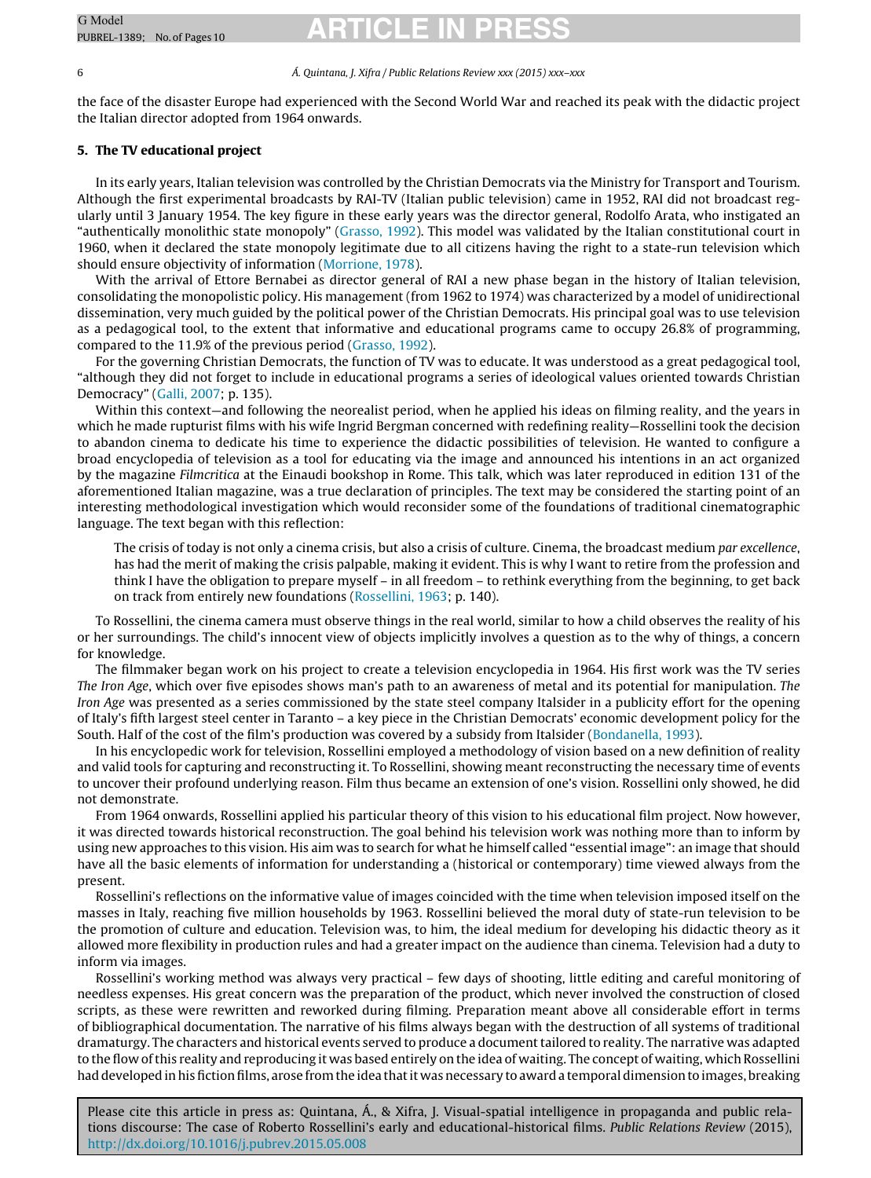#### 6 Á. Quintana, J. Xifra / Public Relations Review xxx (2015) xxx–xxx

the face of the disaster Europe had experienced with the Second World War and reached its peak with the didactic project the Italian director adopted from 1964 onwards.

### **5. The TV educational project**

In its early years, Italian television was controlled by the Christian Democrats via the Ministry for Transport and Tourism. Although the first experimental broadcasts by RAI-TV (Italian public television) came in 1952, RAI did not broadcast regularly until 3 January 1954. The key figure in these early years was the director general, Rodolfo Arata, who instigated an "authentically monolithic state monopoly" ([Grasso,](#page-8-0) [1992\).](#page-8-0) This model was validated by the Italian constitutional court in 1960, when it declared the state monopoly legitimate due to all citizens having the right to a state-run television which should ensure objectivity of information ([Morrione,](#page-8-0) [1978\).](#page-8-0)

With the arrival of Ettore Bernabei as director general of RAI a new phase began in the history of Italian television, consolidating the monopolistic policy. His management (from 1962 to 1974) was characterized by a model of unidirectional dissemination, very much guided by the political power of the Christian Democrats. His principal goal was to use television as a pedagogical tool, to the extent that informative and educational programs came to occupy 26.8% of programming, compared to the 11.9% of the previous period ([Grasso,](#page-8-0) [1992\).](#page-8-0)

For the governing Christian Democrats, the function of TV was to educate. It was understood as a great pedagogical tool, "although they did not forget to include in educational programs a series of ideological values oriented towards Christian Democracy" ([Galli,](#page-8-0) [2007;](#page-8-0) p. 135).

Within this context—and following the neorealist period, when he applied his ideas on filming reality, and the years in which he made rupturist films with his wife Ingrid Bergman concerned with redefining reality—Rossellini took the decision to abandon cinema to dedicate his time to experience the didactic possibilities of television. He wanted to configure a broad encyclopedia of television as a tool for educating via the image and announced his intentions in an act organized by the magazine Filmcritica at the Einaudi bookshop in Rome. This talk, which was later reproduced in edition 131 of the aforementioned Italian magazine, was a true declaration of principles. The text may be considered the starting point of an interesting methodological investigation which would reconsider some of the foundations of traditional cinematographic language. The text began with this reflection:

The crisis of today is not only a cinema crisis, but also a crisis of culture. Cinema, the broadcast medium par excellence, has had the merit of making the crisis palpable, making it evident. This is why I want to retire from the profession and think I have the obligation to prepare myself – in all freedom – to rethink everything from the beginning, to get back on track from entirely new foundations [\(Rossellini,](#page-9-0) [1963;](#page-9-0) p. 140).

To Rossellini, the cinema camera must observe things in the real world, similar to how a child observes the reality of his or her surroundings. The child's innocent view of objects implicitly involves a question as to the why of things, a concern for knowledge.

The filmmaker began work on his project to create a television encyclopedia in 1964. His first work was the TV series The Iron Age, which over five episodes shows man's path to an awareness of metal and its potential for manipulation. The Iron Age was presented as a series commissioned by the state steel company Italsider in a publicity effort for the opening of Italy's fifth largest steel center in Taranto – a key piece in the Christian Democrats' economic development policy for the South. Half of the cost of the film's production was covered by a subsidy from Italsider ([Bondanella,](#page-8-0) [1993\).](#page-8-0)

In his encyclopedic work for television, Rossellini employed a methodology of vision based on a new definition of reality and valid tools for capturing and reconstructing it. To Rossellini, showing meant reconstructing the necessary time of events to uncover their profound underlying reason. Film thus became an extension of one's vision. Rossellini only showed, he did not demonstrate.

From 1964 onwards, Rossellini applied his particular theory of this vision to his educational film project. Now however, it was directed towards historical reconstruction. The goal behind his television work was nothing more than to inform by using new approaches to this vision. His aim was to search for what he himself called "essential image": an image that should have all the basic elements of information for understanding a (historical or contemporary) time viewed always from the present.

Rossellini's reflections on the informative value of images coincided with the time when television imposed itself on the masses in Italy, reaching five million households by 1963. Rossellini believed the moral duty of state-run television to be the promotion of culture and education. Television was, to him, the ideal medium for developing his didactic theory as it allowed more flexibility in production rules and had a greater impact on the audience than cinema. Television had a duty to inform via images.

Rossellini's working method was always very practical – few days of shooting, little editing and careful monitoring of needless expenses. His great concern was the preparation of the product, which never involved the construction of closed scripts, as these were rewritten and reworked during filming. Preparation meant above all considerable effort in terms of bibliographical documentation. The narrative of his films always began with the destruction of all systems of traditional dramaturgy. The characters and historical events served to produce a document tailored to reality. The narrative was adapted to the flow ofthis reality and reproducing it was based entirely on the idea of waiting. The concept of waiting, which Rossellini had developed in his fiction films, arose from the idea that it was necessary to award a temporal dimension to images, breaking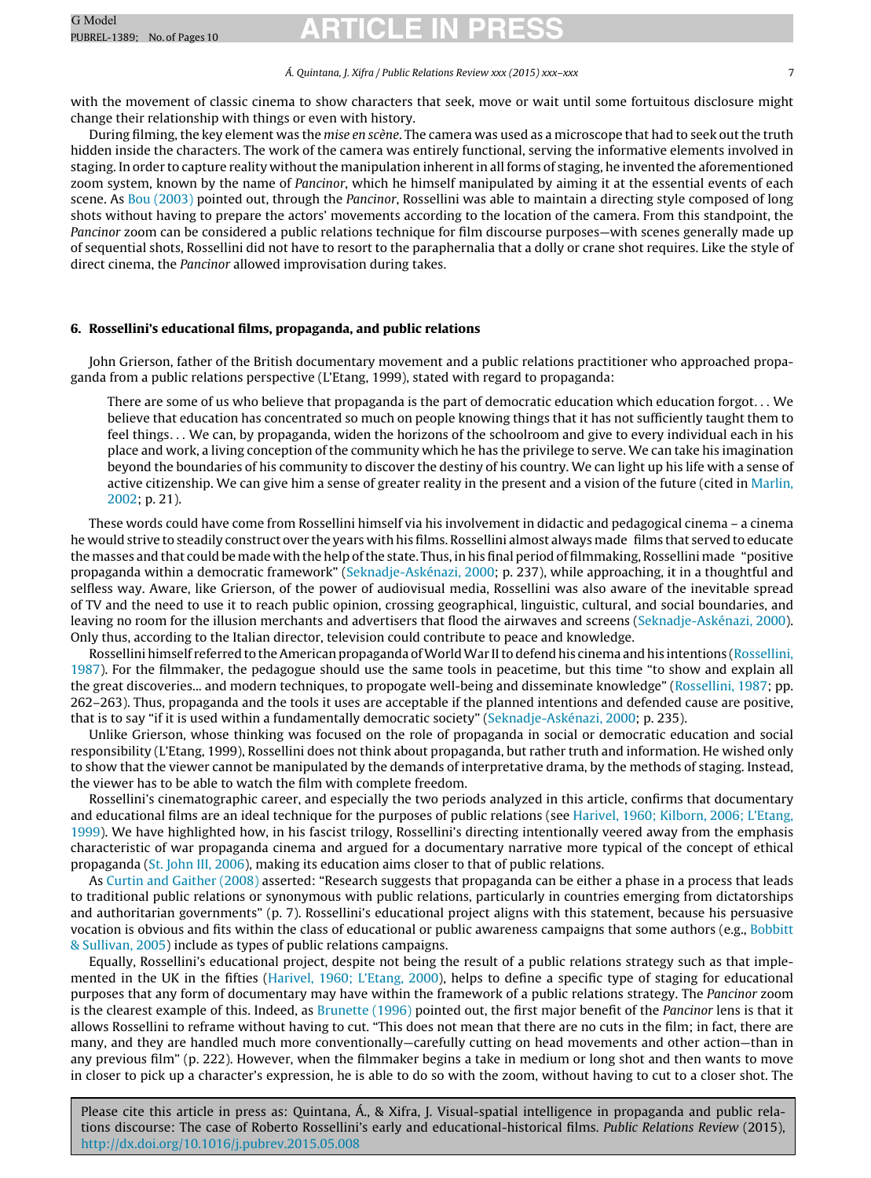#### Á. Quintana, J. Xifra / Public Relations Review xxx (2015) xxx–xxx 7

During filming, the key element was the *mise en scène*. The camera was used as a microscope that had to seek out the truth hidden inside the characters. The work of the camera was entirely functional, serving the informative elements involved in staging. In order to capture reality without the manipulation inherent in all forms of staging, he invented the aforementioned zoom system, known by the name of Pancinor, which he himself manipulated by aiming it at the essential events of each scene. As [Bou](#page-8-0) [\(2003\)](#page-8-0) pointed out, through the Pancinor, Rossellini was able to maintain a directing style composed of long shots without having to prepare the actors' movements according to the location of the camera. From this standpoint, the Pancinor zoom can be considered a public relations technique for film discourse purposes—with scenes generally made up of sequential shots, Rossellini did not have to resort to the paraphernalia that a dolly or crane shot requires. Like the style of direct cinema, the Pancinor allowed improvisation during takes.

#### **6. Rossellini's educational films, propaganda, and public relations**

John Grierson, father of the British documentary movement and a public relations practitioner who approached propaganda from a public relations perspective (L'Etang, 1999), stated with regard to propaganda:

There are some of us who believe that propaganda is the part of democratic education which education forgot. . . We believe that education has concentrated so much on people knowing things that it has not sufficiently taught them to feel things. . . We can, by propaganda, widen the horizons of the schoolroom and give to every individual each in his place and work, a living conception of the community which he has the privilege to serve. We can take his imagination beyond the boundaries of his community to discover the destiny of his country. We can light up his life with a sense of active citizenship. We can give him a sense of greater reality in the present and a vision of the future (cited in [Marlin,](#page-8-0) [2002;](#page-8-0) p. 21).

These words could have come from Rossellini himself via his involvement in didactic and pedagogical cinema – a cinema he would strive to steadily construct over the years with his films. Rossellini almost always made films that served to educate the masses and that could be made with the help of the state. Thus, in his final period of filmmaking, Rossellini made "positive propaganda within a democratic framework" ([Seknadje-Askénazi,](#page-9-0) [2000;](#page-9-0) p. 237), while approaching, it in a thoughtful and selfless way. Aware, like Grierson, of the power of audiovisual media, Rossellini was also aware of the inevitable spread of TV and the need to use it to reach public opinion, crossing geographical, linguistic, cultural, and social boundaries, and leaving no room for the illusion merchants and advertisers that flood the airwaves and screens [\(Seknadje-Askénazi,](#page-9-0) [2000\).](#page-9-0) Only thus, according to the Italian director, television could contribute to peace and knowledge.

Rossellini himself referred to the American propaganda of World War II to defend his cinema and his intentions ([Rossellini,](#page-9-0) [1987\).](#page-9-0) For the filmmaker, the pedagogue should use the same tools in peacetime, but this time "to show and explain all the great discoveries... and modern techniques, to propogate well-being and disseminate knowledge" ([Rossellini,](#page-9-0) [1987;](#page-9-0) pp. 262–263). Thus, propaganda and the tools it uses are acceptable if the planned intentions and defended cause are positive, that is to say "if it is used within a fundamentally democratic society" [\(Seknadje-Askénazi,](#page-9-0) [2000;](#page-9-0) p. 235).

Unlike Grierson, whose thinking was focused on the role of propaganda in social or democratic education and social responsibility (L'Etang, 1999), Rossellini does not think about propaganda, but rather truth and information. He wished only to show that the viewer cannot be manipulated by the demands of interpretative drama, by the methods of staging. Instead, the viewer has to be able to watch the film with complete freedom.

Rossellini's cinematographic career, and especially the two periods analyzed in this article, confirms that documentary and educational films are an ideal technique for the purposes of public relations (see [Harivel,](#page-8-0) [1960;](#page-8-0) [Kilborn,](#page-8-0) [2006;](#page-8-0) [L'Etang,](#page-8-0) [1999\).](#page-8-0) We have highlighted how, in his fascist trilogy, Rossellini's directing intentionally veered away from the emphasis characteristic of war propaganda cinema and argued for a documentary narrative more typical of the concept of ethical propaganda [\(St.](#page-9-0) [John](#page-9-0) [III,](#page-9-0) [2006\),](#page-9-0) making its education aims closer to that of public relations.

As [Curtin](#page-8-0) [and](#page-8-0) [Gaither](#page-8-0) [\(2008\)](#page-8-0) asserted: "Research suggests that propaganda can be either a phase in a process that leads to traditional public relations or synonymous with public relations, particularly in countries emerging from dictatorships and authoritarian governments" (p. 7). Rossellini's educational project aligns with this statement, because his persuasive vocation is obvious and fits within the class of educational or public awareness campaigns that some authors (e.g., [Bobbitt](#page-8-0) [&](#page-8-0) [Sullivan,](#page-8-0) [2005\)](#page-8-0) include as types of public relations campaigns.

Equally, Rossellini's educational project, despite not being the result of a public relations strategy such as that implemented in the UK in the fifties [\(Harivel,](#page-8-0) [1960;](#page-8-0) [L'Etang,](#page-8-0) [2000\),](#page-8-0) helps to define a specific type of staging for educational purposes that any form of documentary may have within the framework of a public relations strategy. The Pancinor zoom is the clearest example of this. Indeed, as [Brunette](#page-8-0) [\(1996\)](#page-8-0) pointed out, the first major benefit of the Pancinor lens is that it allows Rossellini to reframe without having to cut. "This does not mean that there are no cuts in the film; in fact, there are many, and they are handled much more conventionally—carefully cutting on head movements and other action—than in any previous film" (p. 222). However, when the filmmaker begins a take in medium or long shot and then wants to move in closer to pick up a character's expression, he is able to do so with the zoom, without having to cut to a closer shot. The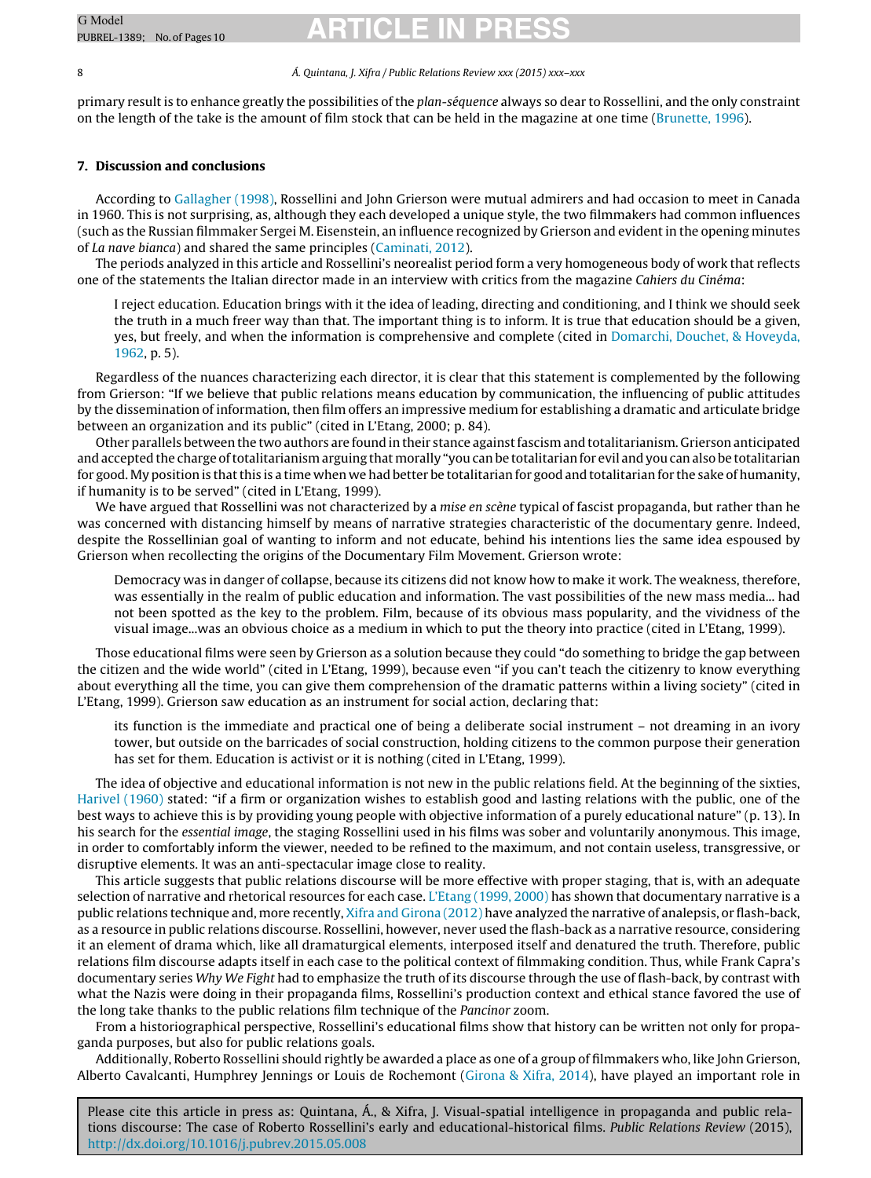#### 8 Á. Quintana, J. Xifra / Public Relations Review xxx (2015) xxx–xxx

primary result is to enhance greatly the possibilities of the *plan-séquence* always so dear to Rossellini, and the only constraint on the length of the take is the amount of film stock that can be held in the magazine at one time ([Brunette,](#page-8-0) [1996\).](#page-8-0)

### **7. Discussion and conclusions**

According to [Gallagher](#page-8-0) [\(1998\),](#page-8-0) Rossellini and John Grierson were mutual admirers and had occasion to meet in Canada in 1960. This is not surprising, as, although they each developed a unique style, the two filmmakers had common influences (such as the Russian filmmaker Sergei M. Eisenstein, an influence recognized by Grierson and evident in the opening minutes of La nave bianca) and shared the same principles ([Caminati,](#page-8-0) [2012\).](#page-8-0)

The periods analyzed in this article and Rossellini's neorealist period form a very homogeneous body of work that reflects one of the statements the Italian director made in an interview with critics from the magazine Cahiers du Cinéma:

I reject education. Education brings with it the idea of leading, directing and conditioning, and I think we should seek the truth in a much freer way than that. The important thing is to inform. It is true that education should be a given, yes, but freely, and when the information is comprehensive and complete (cited in [Domarchi,](#page-8-0) [Douchet,](#page-8-0) [&](#page-8-0) [Hoveyda,](#page-8-0) [1962,](#page-8-0) p. 5).

Regardless of the nuances characterizing each director, it is clear that this statement is complemented by the following from Grierson: "If we believe that public relations means education by communication, the influencing of public attitudes by the dissemination of information, then film offers an impressive medium for establishing a dramatic and articulate bridge between an organization and its public" (cited in L'Etang, 2000; p. 84).

Other parallels between the two authors are found in their stance againstfascism and totalitarianism. Grierson anticipated and accepted the charge oftotalitarianismarguing thatmorally "you can be totalitarian for evil and you can also be totalitarian for good. My position is that this is a time when we had better be totalitarian for good and totalitarian for the sake of humanity, if humanity is to be served" (cited in L'Etang, 1999).

We have argued that Rossellini was not characterized by a mise en scène typical of fascist propaganda, but rather than he was concerned with distancing himself by means of narrative strategies characteristic of the documentary genre. Indeed, despite the Rossellinian goal of wanting to inform and not educate, behind his intentions lies the same idea espoused by Grierson when recollecting the origins of the Documentary Film Movement. Grierson wrote:

Democracy was in danger of collapse, because its citizens did not know how to make it work. The weakness, therefore, was essentially in the realm of public education and information. The vast possibilities of the new mass media... had not been spotted as the key to the problem. Film, because of its obvious mass popularity, and the vividness of the visual image...was an obvious choice as a medium in which to put the theory into practice (cited in L'Etang, 1999).

Those educational films were seen by Grierson as a solution because they could "do something to bridge the gap between the citizen and the wide world" (cited in L'Etang, 1999), because even "if you can't teach the citizenry to know everything about everything all the time, you can give them comprehension of the dramatic patterns within a living society" (cited in L'Etang, 1999). Grierson saw education as an instrument for social action, declaring that:

its function is the immediate and practical one of being a deliberate social instrument – not dreaming in an ivory tower, but outside on the barricades of social construction, holding citizens to the common purpose their generation has set for them. Education is activist or it is nothing (cited in L'Etang, 1999).

The idea of objective and educational information is not new in the public relations field. At the beginning of the sixties, [Harivel](#page-8-0) [\(1960\)](#page-8-0) stated: "if a firm or organization wishes to establish good and lasting relations with the public, one of the best ways to achieve this is by providing young people with objective information of a purely educational nature" (p. 13). In his search for the essential image, the staging Rossellini used in his films was sober and voluntarily anonymous. This image, in order to comfortably inform the viewer, needed to be refined to the maximum, and not contain useless, transgressive, or disruptive elements. It was an anti-spectacular image close to reality.

This article suggests that public relations discourse will be more effective with proper staging, that is, with an adequate selection of narrative and rhetorical resources for each case. [L'Etang](#page-8-0) [\(1999,](#page-8-0) [2000\)](#page-8-0) has shown that documentary narrative is a public relations technique and, more recently, [Xifra](#page-9-0) [and](#page-9-0) [Girona](#page-9-0) [\(2012\)](#page-9-0) have analyzed the narrative of analepsis, or flash-back, as a resource in public relations discourse. Rossellini, however, never used the flash-back as a narrative resource, considering it an element of drama which, like all dramaturgical elements, interposed itself and denatured the truth. Therefore, public relations film discourse adapts itself in each case to the political context of filmmaking condition. Thus, while Frank Capra's documentary series Why We Fight had to emphasize the truth of its discourse through the use of flash-back, by contrast with what the Nazis were doing in their propaganda films, Rossellini's production context and ethical stance favored the use of the long take thanks to the public relations film technique of the Pancinor zoom.

From a historiographical perspective, Rossellini's educational films show that history can be written not only for propaganda purposes, but also for public relations goals.

Additionally, Roberto Rossellini should rightly be awarded a place as one of a group of filmmakers who, like John Grierson, Alberto Cavalcanti, Humphrey Jennings or Louis de Rochemont ([Girona](#page-8-0) [&](#page-8-0) [Xifra,](#page-8-0) [2014\),](#page-8-0) have played an important role in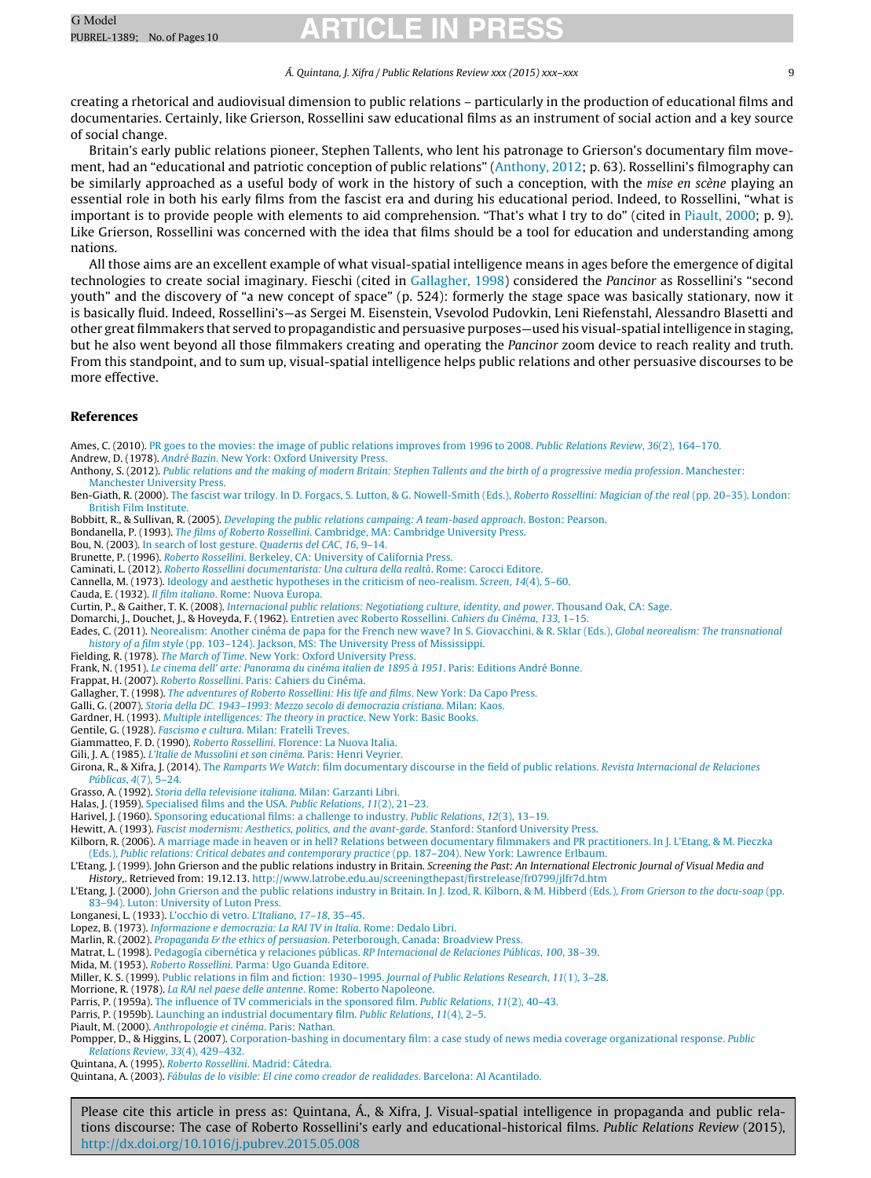#### Á. Quintana, J. Xifra / Public Relations Review xxx (2015) xxx–xxx 9

<span id="page-8-0"></span>creating a rhetorical and audiovisual dimension to public relations – particularly in the production of educational films and documentaries. Certainly, like Grierson, Rossellini saw educational films as an instrument of social action and a key source of social change.

Britain's early public relations pioneer, Stephen Tallents, who lent his patronage to Grierson's documentary film movement, had an "educational and patriotic conception of public relations" (Anthony, 2012; p. 63). Rossellini's filmography can be similarly approached as a useful body of work in the history of such a conception, with the mise en scène playing an essential role in both his early films from the fascist era and during his educational period. Indeed, to Rossellini, "what is important is to provide people with elements to aid comprehension. "That's what I try to do" (cited in Piault, 2000; p. 9). Like Grierson, Rossellini was concerned with the idea that films should be a tool for education and understanding among nations.

All those aims are an excellent example of what visual-spatial intelligence means in ages before the emergence of digital technologies to create social imaginary. Fieschi (cited in Gallagher, 1998) considered the Pancinor as Rossellini's "second youth" and the discovery of "a new concept of space" (p. 524): formerly the stage space was basically stationary, now it is basically fluid. Indeed, Rossellini's—as Sergei M. Eisenstein, Vsevolod Pudovkin, Leni Riefenstahl, Alessandro Blasetti and other great filmmakers that served to propagandistic and persuasive purposes—used his visual-spatial intelligence in staging, but he also went beyond all those filmmakers creating and operating the Pancinor zoom device to reach reality and truth. From this standpoint, and to sum up, visual-spatial intelligence helps public relations and other persuasive discourses to be more effective.

#### **References**

Ames, C. (2010). [PR](http://refhub.elsevier.com/S0363-8111(15)00053-3/sbref0005) [goes](http://refhub.elsevier.com/S0363-8111(15)00053-3/sbref0005) [to](http://refhub.elsevier.com/S0363-8111(15)00053-3/sbref0005) [the](http://refhub.elsevier.com/S0363-8111(15)00053-3/sbref0005) [movies:](http://refhub.elsevier.com/S0363-8111(15)00053-3/sbref0005) [the](http://refhub.elsevier.com/S0363-8111(15)00053-3/sbref0005) [image](http://refhub.elsevier.com/S0363-8111(15)00053-3/sbref0005) [of](http://refhub.elsevier.com/S0363-8111(15)00053-3/sbref0005) [public](http://refhub.elsevier.com/S0363-8111(15)00053-3/sbref0005) [relations](http://refhub.elsevier.com/S0363-8111(15)00053-3/sbref0005) [improves](http://refhub.elsevier.com/S0363-8111(15)00053-3/sbref0005) [from](http://refhub.elsevier.com/S0363-8111(15)00053-3/sbref0005) [1996](http://refhub.elsevier.com/S0363-8111(15)00053-3/sbref0005) [to](http://refhub.elsevier.com/S0363-8111(15)00053-3/sbref0005) [2008.](http://refhub.elsevier.com/S0363-8111(15)00053-3/sbref0005) [Public](http://refhub.elsevier.com/S0363-8111(15)00053-3/sbref0005) [Relations](http://refhub.elsevier.com/S0363-8111(15)00053-3/sbref0005) [Review](http://refhub.elsevier.com/S0363-8111(15)00053-3/sbref0005)[,](http://refhub.elsevier.com/S0363-8111(15)00053-3/sbref0005) [36](http://refhub.elsevier.com/S0363-8111(15)00053-3/sbref0005)[\(2\),](http://refhub.elsevier.com/S0363-8111(15)00053-3/sbref0005) [164–170.](http://refhub.elsevier.com/S0363-8111(15)00053-3/sbref0005) Andrew, D. (1978). [André](http://refhub.elsevier.com/S0363-8111(15)00053-3/sbref0010) [Bazin](http://refhub.elsevier.com/S0363-8111(15)00053-3/sbref0010)[.](http://refhub.elsevier.com/S0363-8111(15)00053-3/sbref0010) [New](http://refhub.elsevier.com/S0363-8111(15)00053-3/sbref0010) [York:](http://refhub.elsevier.com/S0363-8111(15)00053-3/sbref0010) [Oxford](http://refhub.elsevier.com/S0363-8111(15)00053-3/sbref0010) [University](http://refhub.elsevier.com/S0363-8111(15)00053-3/sbref0010) [Press.](http://refhub.elsevier.com/S0363-8111(15)00053-3/sbref0010)

- Anthony, S. (2012). [Public](http://refhub.elsevier.com/S0363-8111(15)00053-3/sbref0015) [relations](http://refhub.elsevier.com/S0363-8111(15)00053-3/sbref0015) [and](http://refhub.elsevier.com/S0363-8111(15)00053-3/sbref0015) [the](http://refhub.elsevier.com/S0363-8111(15)00053-3/sbref0015) [making](http://refhub.elsevier.com/S0363-8111(15)00053-3/sbref0015) [of](http://refhub.elsevier.com/S0363-8111(15)00053-3/sbref0015) [modern](http://refhub.elsevier.com/S0363-8111(15)00053-3/sbref0015) [Britain:](http://refhub.elsevier.com/S0363-8111(15)00053-3/sbref0015) [Stephen](http://refhub.elsevier.com/S0363-8111(15)00053-3/sbref0015) [Tallents](http://refhub.elsevier.com/S0363-8111(15)00053-3/sbref0015) [and](http://refhub.elsevier.com/S0363-8111(15)00053-3/sbref0015) [the](http://refhub.elsevier.com/S0363-8111(15)00053-3/sbref0015) [birth](http://refhub.elsevier.com/S0363-8111(15)00053-3/sbref0015) [of](http://refhub.elsevier.com/S0363-8111(15)00053-3/sbref0015) [a](http://refhub.elsevier.com/S0363-8111(15)00053-3/sbref0015) [progressive](http://refhub.elsevier.com/S0363-8111(15)00053-3/sbref0015) [media](http://refhub.elsevier.com/S0363-8111(15)00053-3/sbref0015) [profession](http://refhub.elsevier.com/S0363-8111(15)00053-3/sbref0015)[.](http://refhub.elsevier.com/S0363-8111(15)00053-3/sbref0015) [Manchester:](http://refhub.elsevier.com/S0363-8111(15)00053-3/sbref0015) [Manchester](http://refhub.elsevier.com/S0363-8111(15)00053-3/sbref0015) [University](http://refhub.elsevier.com/S0363-8111(15)00053-3/sbref0015) [Press.](http://refhub.elsevier.com/S0363-8111(15)00053-3/sbref0015)
- Ben-Giath, R. (2000). [The](http://refhub.elsevier.com/S0363-8111(15)00053-3/sbref0020) [fascist](http://refhub.elsevier.com/S0363-8111(15)00053-3/sbref0020) [war](http://refhub.elsevier.com/S0363-8111(15)00053-3/sbref0020) [trilogy.](http://refhub.elsevier.com/S0363-8111(15)00053-3/sbref0020) [In](http://refhub.elsevier.com/S0363-8111(15)00053-3/sbref0020) [D.](http://refhub.elsevier.com/S0363-8111(15)00053-3/sbref0020) [Forgacs,](http://refhub.elsevier.com/S0363-8111(15)00053-3/sbref0020) [S.](http://refhub.elsevier.com/S0363-8111(15)00053-3/sbref0020) [Lutton,](http://refhub.elsevier.com/S0363-8111(15)00053-3/sbref0020) [&](http://refhub.elsevier.com/S0363-8111(15)00053-3/sbref0020) [G.](http://refhub.elsevier.com/S0363-8111(15)00053-3/sbref0020) [Nowell-Smith](http://refhub.elsevier.com/S0363-8111(15)00053-3/sbref0020) [\(Eds.\),](http://refhub.elsevier.com/S0363-8111(15)00053-3/sbref0020) [Roberto](http://refhub.elsevier.com/S0363-8111(15)00053-3/sbref0020) [Rossellini:](http://refhub.elsevier.com/S0363-8111(15)00053-3/sbref0020) [Magician](http://refhub.elsevier.com/S0363-8111(15)00053-3/sbref0020) [of](http://refhub.elsevier.com/S0363-8111(15)00053-3/sbref0020) [the](http://refhub.elsevier.com/S0363-8111(15)00053-3/sbref0020) [real](http://refhub.elsevier.com/S0363-8111(15)00053-3/sbref0020) [\(pp.](http://refhub.elsevier.com/S0363-8111(15)00053-3/sbref0020) [20](http://refhub.elsevier.com/S0363-8111(15)00053-3/sbref0020)–[35\).](http://refhub.elsevier.com/S0363-8111(15)00053-3/sbref0020) [London:](http://refhub.elsevier.com/S0363-8111(15)00053-3/sbref0020) [British](http://refhub.elsevier.com/S0363-8111(15)00053-3/sbref0020) [Film](http://refhub.elsevier.com/S0363-8111(15)00053-3/sbref0020) [Institute.](http://refhub.elsevier.com/S0363-8111(15)00053-3/sbref0020)
- Bobbitt, R., & Sullivan, R. (2005). [Developing](http://refhub.elsevier.com/S0363-8111(15)00053-3/sbref0025) [the](http://refhub.elsevier.com/S0363-8111(15)00053-3/sbref0025) [public](http://refhub.elsevier.com/S0363-8111(15)00053-3/sbref0025) [relations](http://refhub.elsevier.com/S0363-8111(15)00053-3/sbref0025) [campaing:](http://refhub.elsevier.com/S0363-8111(15)00053-3/sbref0025) [A](http://refhub.elsevier.com/S0363-8111(15)00053-3/sbref0025) [team-based](http://refhub.elsevier.com/S0363-8111(15)00053-3/sbref0025) [approach](http://refhub.elsevier.com/S0363-8111(15)00053-3/sbref0025)[.](http://refhub.elsevier.com/S0363-8111(15)00053-3/sbref0025) [Boston:](http://refhub.elsevier.com/S0363-8111(15)00053-3/sbref0025) [Pearson.](http://refhub.elsevier.com/S0363-8111(15)00053-3/sbref0025)

Bondanella, P. (1993). [The](http://refhub.elsevier.com/S0363-8111(15)00053-3/sbref0030) [films](http://refhub.elsevier.com/S0363-8111(15)00053-3/sbref0030) [of](http://refhub.elsevier.com/S0363-8111(15)00053-3/sbref0030) [Roberto](http://refhub.elsevier.com/S0363-8111(15)00053-3/sbref0030) [Rossellini](http://refhub.elsevier.com/S0363-8111(15)00053-3/sbref0030). [Cambridge,](http://refhub.elsevier.com/S0363-8111(15)00053-3/sbref0030) [MA:](http://refhub.elsevier.com/S0363-8111(15)00053-3/sbref0030) [Cambridge](http://refhub.elsevier.com/S0363-8111(15)00053-3/sbref0030) [University](http://refhub.elsevier.com/S0363-8111(15)00053-3/sbref0030) [Press.](http://refhub.elsevier.com/S0363-8111(15)00053-3/sbref0030)

- Bou, N. (2003). [In](http://refhub.elsevier.com/S0363-8111(15)00053-3/sbref0035) [search](http://refhub.elsevier.com/S0363-8111(15)00053-3/sbref0035) [of](http://refhub.elsevier.com/S0363-8111(15)00053-3/sbref0035) [lost](http://refhub.elsevier.com/S0363-8111(15)00053-3/sbref0035) [gesture.](http://refhub.elsevier.com/S0363-8111(15)00053-3/sbref0035) [Quaderns](http://refhub.elsevier.com/S0363-8111(15)00053-3/sbref0035) [del](http://refhub.elsevier.com/S0363-8111(15)00053-3/sbref0035) [CAC](http://refhub.elsevier.com/S0363-8111(15)00053-3/sbref0035)[,](http://refhub.elsevier.com/S0363-8111(15)00053-3/sbref0035) [16](http://refhub.elsevier.com/S0363-8111(15)00053-3/sbref0035)[,](http://refhub.elsevier.com/S0363-8111(15)00053-3/sbref0035) [9](http://refhub.elsevier.com/S0363-8111(15)00053-3/sbref0035)–[14.](http://refhub.elsevier.com/S0363-8111(15)00053-3/sbref0035)
- Brunette, P. (1996). [Roberto](http://refhub.elsevier.com/S0363-8111(15)00053-3/sbref0040) [Rossellini](http://refhub.elsevier.com/S0363-8111(15)00053-3/sbref0040)[.](http://refhub.elsevier.com/S0363-8111(15)00053-3/sbref0040) [Berkeley,](http://refhub.elsevier.com/S0363-8111(15)00053-3/sbref0040) [CA:](http://refhub.elsevier.com/S0363-8111(15)00053-3/sbref0040) [University](http://refhub.elsevier.com/S0363-8111(15)00053-3/sbref0040) [of](http://refhub.elsevier.com/S0363-8111(15)00053-3/sbref0040) [California](http://refhub.elsevier.com/S0363-8111(15)00053-3/sbref0040) [Press.](http://refhub.elsevier.com/S0363-8111(15)00053-3/sbref0040)
- Caminati, L. (2012). [Roberto](http://refhub.elsevier.com/S0363-8111(15)00053-3/sbref0045) [Rossellini](http://refhub.elsevier.com/S0363-8111(15)00053-3/sbref0045) [documentarista:](http://refhub.elsevier.com/S0363-8111(15)00053-3/sbref0045) [Una](http://refhub.elsevier.com/S0363-8111(15)00053-3/sbref0045) [cultura](http://refhub.elsevier.com/S0363-8111(15)00053-3/sbref0045) [della](http://refhub.elsevier.com/S0363-8111(15)00053-3/sbref0045) [realtà](http://refhub.elsevier.com/S0363-8111(15)00053-3/sbref0045)[.](http://refhub.elsevier.com/S0363-8111(15)00053-3/sbref0045) [Rome:](http://refhub.elsevier.com/S0363-8111(15)00053-3/sbref0045) [Carocci](http://refhub.elsevier.com/S0363-8111(15)00053-3/sbref0045) [Editore.](http://refhub.elsevier.com/S0363-8111(15)00053-3/sbref0045)
- Cannella, M. (1973). [Ideology](http://refhub.elsevier.com/S0363-8111(15)00053-3/sbref0050) [and](http://refhub.elsevier.com/S0363-8111(15)00053-3/sbref0050) [aesthetic](http://refhub.elsevier.com/S0363-8111(15)00053-3/sbref0050) [hypotheses](http://refhub.elsevier.com/S0363-8111(15)00053-3/sbref0050) [in](http://refhub.elsevier.com/S0363-8111(15)00053-3/sbref0050) [the](http://refhub.elsevier.com/S0363-8111(15)00053-3/sbref0050) [criticism](http://refhub.elsevier.com/S0363-8111(15)00053-3/sbref0050) [of](http://refhub.elsevier.com/S0363-8111(15)00053-3/sbref0050) [neo-realism.](http://refhub.elsevier.com/S0363-8111(15)00053-3/sbref0050) [Screen](http://refhub.elsevier.com/S0363-8111(15)00053-3/sbref0050)[,](http://refhub.elsevier.com/S0363-8111(15)00053-3/sbref0050) [14](http://refhub.elsevier.com/S0363-8111(15)00053-3/sbref0050)[\(4\),](http://refhub.elsevier.com/S0363-8111(15)00053-3/sbref0050) [5–60.](http://refhub.elsevier.com/S0363-8111(15)00053-3/sbref0050)
- Cauda, E. (1932). [Il](http://refhub.elsevier.com/S0363-8111(15)00053-3/sbref0055) [film](http://refhub.elsevier.com/S0363-8111(15)00053-3/sbref0055) [italiano](http://refhub.elsevier.com/S0363-8111(15)00053-3/sbref0055). [Rome:](http://refhub.elsevier.com/S0363-8111(15)00053-3/sbref0055) [Nuova](http://refhub.elsevier.com/S0363-8111(15)00053-3/sbref0055) [Europa.](http://refhub.elsevier.com/S0363-8111(15)00053-3/sbref0055)
- Curtin, P., & Gaither, T. K. (2008). [Internacional](http://refhub.elsevier.com/S0363-8111(15)00053-3/sbref0060) [public](http://refhub.elsevier.com/S0363-8111(15)00053-3/sbref0060) [relations:](http://refhub.elsevier.com/S0363-8111(15)00053-3/sbref0060) [Negotiationg](http://refhub.elsevier.com/S0363-8111(15)00053-3/sbref0060) [culture,](http://refhub.elsevier.com/S0363-8111(15)00053-3/sbref0060) [identity,](http://refhub.elsevier.com/S0363-8111(15)00053-3/sbref0060) [and](http://refhub.elsevier.com/S0363-8111(15)00053-3/sbref0060) [power](http://refhub.elsevier.com/S0363-8111(15)00053-3/sbref0060). [Thousand](http://refhub.elsevier.com/S0363-8111(15)00053-3/sbref0060) [Oak,](http://refhub.elsevier.com/S0363-8111(15)00053-3/sbref0060) [CA:](http://refhub.elsevier.com/S0363-8111(15)00053-3/sbref0060) [Sage.](http://refhub.elsevier.com/S0363-8111(15)00053-3/sbref0060)
- Domarchi, J., Douchet, J., & Hoveyda, F. (1962). [Entretien](http://refhub.elsevier.com/S0363-8111(15)00053-3/sbref0065) [avec](http://refhub.elsevier.com/S0363-8111(15)00053-3/sbref0065) [Roberto](http://refhub.elsevier.com/S0363-8111(15)00053-3/sbref0065) [Rossellini.](http://refhub.elsevier.com/S0363-8111(15)00053-3/sbref0065) [Cahiers](http://refhub.elsevier.com/S0363-8111(15)00053-3/sbref0065) [du](http://refhub.elsevier.com/S0363-8111(15)00053-3/sbref0065) [Cinéma](http://refhub.elsevier.com/S0363-8111(15)00053-3/sbref0065)[,](http://refhub.elsevier.com/S0363-8111(15)00053-3/sbref0065) [133](http://refhub.elsevier.com/S0363-8111(15)00053-3/sbref0065), [1–15.](http://refhub.elsevier.com/S0363-8111(15)00053-3/sbref0065)
- Eades, C. (2011). [Neorealism:](http://refhub.elsevier.com/S0363-8111(15)00053-3/sbref0070) [Another](http://refhub.elsevier.com/S0363-8111(15)00053-3/sbref0070) [cinéma](http://refhub.elsevier.com/S0363-8111(15)00053-3/sbref0070) [de](http://refhub.elsevier.com/S0363-8111(15)00053-3/sbref0070) [papa](http://refhub.elsevier.com/S0363-8111(15)00053-3/sbref0070) [for](http://refhub.elsevier.com/S0363-8111(15)00053-3/sbref0070) [the](http://refhub.elsevier.com/S0363-8111(15)00053-3/sbref0070) [French](http://refhub.elsevier.com/S0363-8111(15)00053-3/sbref0070) [new](http://refhub.elsevier.com/S0363-8111(15)00053-3/sbref0070) [wave?](http://refhub.elsevier.com/S0363-8111(15)00053-3/sbref0070) [In](http://refhub.elsevier.com/S0363-8111(15)00053-3/sbref0070) [S.](http://refhub.elsevier.com/S0363-8111(15)00053-3/sbref0070) [Giovacchini,](http://refhub.elsevier.com/S0363-8111(15)00053-3/sbref0070) [&](http://refhub.elsevier.com/S0363-8111(15)00053-3/sbref0070) [R.](http://refhub.elsevier.com/S0363-8111(15)00053-3/sbref0070) [Sklar](http://refhub.elsevier.com/S0363-8111(15)00053-3/sbref0070) [\(Eds.\),](http://refhub.elsevier.com/S0363-8111(15)00053-3/sbref0070) [Global](http://refhub.elsevier.com/S0363-8111(15)00053-3/sbref0070) [neorealism:](http://refhub.elsevier.com/S0363-8111(15)00053-3/sbref0070) [The](http://refhub.elsevier.com/S0363-8111(15)00053-3/sbref0070) [transnational](http://refhub.elsevier.com/S0363-8111(15)00053-3/sbref0070) [history](http://refhub.elsevier.com/S0363-8111(15)00053-3/sbref0070) [of](http://refhub.elsevier.com/S0363-8111(15)00053-3/sbref0070) [a](http://refhub.elsevier.com/S0363-8111(15)00053-3/sbref0070) [film](http://refhub.elsevier.com/S0363-8111(15)00053-3/sbref0070) [style](http://refhub.elsevier.com/S0363-8111(15)00053-3/sbref0070) [\(pp.](http://refhub.elsevier.com/S0363-8111(15)00053-3/sbref0070) [103–124\).](http://refhub.elsevier.com/S0363-8111(15)00053-3/sbref0070) [Jackson,](http://refhub.elsevier.com/S0363-8111(15)00053-3/sbref0070) [MS:](http://refhub.elsevier.com/S0363-8111(15)00053-3/sbref0070) [The](http://refhub.elsevier.com/S0363-8111(15)00053-3/sbref0070) [University](http://refhub.elsevier.com/S0363-8111(15)00053-3/sbref0070) [Press](http://refhub.elsevier.com/S0363-8111(15)00053-3/sbref0070) of [Mississippi.](http://refhub.elsevier.com/S0363-8111(15)00053-3/sbref0070)
- Fielding, R. (1978). [The](http://refhub.elsevier.com/S0363-8111(15)00053-3/sbref0075) [March](http://refhub.elsevier.com/S0363-8111(15)00053-3/sbref0075) [of](http://refhub.elsevier.com/S0363-8111(15)00053-3/sbref0075) [Time](http://refhub.elsevier.com/S0363-8111(15)00053-3/sbref0075). [New](http://refhub.elsevier.com/S0363-8111(15)00053-3/sbref0075) [York:](http://refhub.elsevier.com/S0363-8111(15)00053-3/sbref0075) [Oxford](http://refhub.elsevier.com/S0363-8111(15)00053-3/sbref0075) [University](http://refhub.elsevier.com/S0363-8111(15)00053-3/sbref0075) [Press.](http://refhub.elsevier.com/S0363-8111(15)00053-3/sbref0075)
- Frank, N. (1951). [Le](http://refhub.elsevier.com/S0363-8111(15)00053-3/sbref0080) [cinema](http://refhub.elsevier.com/S0363-8111(15)00053-3/sbref0080) [dell'](http://refhub.elsevier.com/S0363-8111(15)00053-3/sbref0080) [arte:](http://refhub.elsevier.com/S0363-8111(15)00053-3/sbref0080) [Panorama](http://refhub.elsevier.com/S0363-8111(15)00053-3/sbref0080) [du](http://refhub.elsevier.com/S0363-8111(15)00053-3/sbref0080) [cinéma](http://refhub.elsevier.com/S0363-8111(15)00053-3/sbref0080) [italien](http://refhub.elsevier.com/S0363-8111(15)00053-3/sbref0080) [de](http://refhub.elsevier.com/S0363-8111(15)00053-3/sbref0080) [1895](http://refhub.elsevier.com/S0363-8111(15)00053-3/sbref0080) [à](http://refhub.elsevier.com/S0363-8111(15)00053-3/sbref0080) [1951](http://refhub.elsevier.com/S0363-8111(15)00053-3/sbref0080)[.](http://refhub.elsevier.com/S0363-8111(15)00053-3/sbref0080) [Paris:](http://refhub.elsevier.com/S0363-8111(15)00053-3/sbref0080) [Editions](http://refhub.elsevier.com/S0363-8111(15)00053-3/sbref0080) [André](http://refhub.elsevier.com/S0363-8111(15)00053-3/sbref0080) [Bonne.](http://refhub.elsevier.com/S0363-8111(15)00053-3/sbref0080)
- Frappat, H. (2007). [Roberto](http://refhub.elsevier.com/S0363-8111(15)00053-3/sbref0085) [Rossellini](http://refhub.elsevier.com/S0363-8111(15)00053-3/sbref0085)[.](http://refhub.elsevier.com/S0363-8111(15)00053-3/sbref0085) [Paris:](http://refhub.elsevier.com/S0363-8111(15)00053-3/sbref0085) [Cahiers](http://refhub.elsevier.com/S0363-8111(15)00053-3/sbref0085) [du](http://refhub.elsevier.com/S0363-8111(15)00053-3/sbref0085) [Cinéma.](http://refhub.elsevier.com/S0363-8111(15)00053-3/sbref0085)
- Gallagher, T. (1998). [The](http://refhub.elsevier.com/S0363-8111(15)00053-3/sbref0090) [adventures](http://refhub.elsevier.com/S0363-8111(15)00053-3/sbref0090) [of](http://refhub.elsevier.com/S0363-8111(15)00053-3/sbref0090) [Roberto](http://refhub.elsevier.com/S0363-8111(15)00053-3/sbref0090) [Rossellini:](http://refhub.elsevier.com/S0363-8111(15)00053-3/sbref0090) [His](http://refhub.elsevier.com/S0363-8111(15)00053-3/sbref0090) [life](http://refhub.elsevier.com/S0363-8111(15)00053-3/sbref0090) [and](http://refhub.elsevier.com/S0363-8111(15)00053-3/sbref0090) [films](http://refhub.elsevier.com/S0363-8111(15)00053-3/sbref0090)[.](http://refhub.elsevier.com/S0363-8111(15)00053-3/sbref0090) [New](http://refhub.elsevier.com/S0363-8111(15)00053-3/sbref0090) [York:](http://refhub.elsevier.com/S0363-8111(15)00053-3/sbref0090) [Da](http://refhub.elsevier.com/S0363-8111(15)00053-3/sbref0090) [Capo](http://refhub.elsevier.com/S0363-8111(15)00053-3/sbref0090) [Press.](http://refhub.elsevier.com/S0363-8111(15)00053-3/sbref0090)
- Galli, G. (2007). [Storia](http://refhub.elsevier.com/S0363-8111(15)00053-3/sbref0095) [della](http://refhub.elsevier.com/S0363-8111(15)00053-3/sbref0095) [DC.](http://refhub.elsevier.com/S0363-8111(15)00053-3/sbref0095) [1943–1993:](http://refhub.elsevier.com/S0363-8111(15)00053-3/sbref0095) [Mezzo](http://refhub.elsevier.com/S0363-8111(15)00053-3/sbref0095) [secolo](http://refhub.elsevier.com/S0363-8111(15)00053-3/sbref0095) [di](http://refhub.elsevier.com/S0363-8111(15)00053-3/sbref0095) [democrazia](http://refhub.elsevier.com/S0363-8111(15)00053-3/sbref0095) [cristiana](http://refhub.elsevier.com/S0363-8111(15)00053-3/sbref0095)[.](http://refhub.elsevier.com/S0363-8111(15)00053-3/sbref0095) [Milan:](http://refhub.elsevier.com/S0363-8111(15)00053-3/sbref0095) [Kaos.](http://refhub.elsevier.com/S0363-8111(15)00053-3/sbref0095)
- Gardner, H. (1993). [Multiple](http://refhub.elsevier.com/S0363-8111(15)00053-3/sbref0100) [intelligences:](http://refhub.elsevier.com/S0363-8111(15)00053-3/sbref0100) [The](http://refhub.elsevier.com/S0363-8111(15)00053-3/sbref0100) [theory](http://refhub.elsevier.com/S0363-8111(15)00053-3/sbref0100) [in](http://refhub.elsevier.com/S0363-8111(15)00053-3/sbref0100) [practice](http://refhub.elsevier.com/S0363-8111(15)00053-3/sbref0100)[.](http://refhub.elsevier.com/S0363-8111(15)00053-3/sbref0100) [New](http://refhub.elsevier.com/S0363-8111(15)00053-3/sbref0100) [York:](http://refhub.elsevier.com/S0363-8111(15)00053-3/sbref0100) [Basic](http://refhub.elsevier.com/S0363-8111(15)00053-3/sbref0100) [Books.](http://refhub.elsevier.com/S0363-8111(15)00053-3/sbref0100)

Gentile, G. (1928). [Fascismo](http://refhub.elsevier.com/S0363-8111(15)00053-3/sbref0105) [e](http://refhub.elsevier.com/S0363-8111(15)00053-3/sbref0105) [cultura](http://refhub.elsevier.com/S0363-8111(15)00053-3/sbref0105)[.](http://refhub.elsevier.com/S0363-8111(15)00053-3/sbref0105) [Milan:](http://refhub.elsevier.com/S0363-8111(15)00053-3/sbref0105) [Fratelli](http://refhub.elsevier.com/S0363-8111(15)00053-3/sbref0105) [Treves.](http://refhub.elsevier.com/S0363-8111(15)00053-3/sbref0105)

- Giammatteo, F. D. (1990). [Roberto](http://refhub.elsevier.com/S0363-8111(15)00053-3/sbref0110) [Rossellini](http://refhub.elsevier.com/S0363-8111(15)00053-3/sbref0110)[.](http://refhub.elsevier.com/S0363-8111(15)00053-3/sbref0110) [Florence:](http://refhub.elsevier.com/S0363-8111(15)00053-3/sbref0110) [La](http://refhub.elsevier.com/S0363-8111(15)00053-3/sbref0110) [Nuova](http://refhub.elsevier.com/S0363-8111(15)00053-3/sbref0110) [Italia.](http://refhub.elsevier.com/S0363-8111(15)00053-3/sbref0110)
- Gili, J. A. (1985). [L'Italie](http://refhub.elsevier.com/S0363-8111(15)00053-3/sbref0115) [de](http://refhub.elsevier.com/S0363-8111(15)00053-3/sbref0115) [Mussolini](http://refhub.elsevier.com/S0363-8111(15)00053-3/sbref0115) [et](http://refhub.elsevier.com/S0363-8111(15)00053-3/sbref0115) [son](http://refhub.elsevier.com/S0363-8111(15)00053-3/sbref0115) [cinéma](http://refhub.elsevier.com/S0363-8111(15)00053-3/sbref0115)[.](http://refhub.elsevier.com/S0363-8111(15)00053-3/sbref0115) [Paris:](http://refhub.elsevier.com/S0363-8111(15)00053-3/sbref0115) [Henri](http://refhub.elsevier.com/S0363-8111(15)00053-3/sbref0115) [Veyrier.](http://refhub.elsevier.com/S0363-8111(15)00053-3/sbref0115)
- Girona, R., & Xifra, J. (2014). [The](http://refhub.elsevier.com/S0363-8111(15)00053-3/sbref0120) [Ramparts](http://refhub.elsevier.com/S0363-8111(15)00053-3/sbref0120) [We](http://refhub.elsevier.com/S0363-8111(15)00053-3/sbref0120) [Watch](http://refhub.elsevier.com/S0363-8111(15)00053-3/sbref0120)[:](http://refhub.elsevier.com/S0363-8111(15)00053-3/sbref0120) [film](http://refhub.elsevier.com/S0363-8111(15)00053-3/sbref0120) [documentary](http://refhub.elsevier.com/S0363-8111(15)00053-3/sbref0120) [discourse](http://refhub.elsevier.com/S0363-8111(15)00053-3/sbref0120) [in](http://refhub.elsevier.com/S0363-8111(15)00053-3/sbref0120) [the](http://refhub.elsevier.com/S0363-8111(15)00053-3/sbref0120) [field](http://refhub.elsevier.com/S0363-8111(15)00053-3/sbref0120) [of](http://refhub.elsevier.com/S0363-8111(15)00053-3/sbref0120) [public](http://refhub.elsevier.com/S0363-8111(15)00053-3/sbref0120) [relations.](http://refhub.elsevier.com/S0363-8111(15)00053-3/sbref0120) [Revista](http://refhub.elsevier.com/S0363-8111(15)00053-3/sbref0120) [Internacional](http://refhub.elsevier.com/S0363-8111(15)00053-3/sbref0120) [de](http://refhub.elsevier.com/S0363-8111(15)00053-3/sbref0120) [Relaciones](http://refhub.elsevier.com/S0363-8111(15)00053-3/sbref0120) [Públicas](http://refhub.elsevier.com/S0363-8111(15)00053-3/sbref0120)[,](http://refhub.elsevier.com/S0363-8111(15)00053-3/sbref0120) [4](http://refhub.elsevier.com/S0363-8111(15)00053-3/sbref0120)[\(7\),](http://refhub.elsevier.com/S0363-8111(15)00053-3/sbref0120) [5](http://refhub.elsevier.com/S0363-8111(15)00053-3/sbref0120)–[24.](http://refhub.elsevier.com/S0363-8111(15)00053-3/sbref0120)
- Grasso, A. (1992). [Storia](http://refhub.elsevier.com/S0363-8111(15)00053-3/sbref0125) [della](http://refhub.elsevier.com/S0363-8111(15)00053-3/sbref0125) [televisione](http://refhub.elsevier.com/S0363-8111(15)00053-3/sbref0125) [italiana](http://refhub.elsevier.com/S0363-8111(15)00053-3/sbref0125)[.](http://refhub.elsevier.com/S0363-8111(15)00053-3/sbref0125) [Milan:](http://refhub.elsevier.com/S0363-8111(15)00053-3/sbref0125) [Garzanti](http://refhub.elsevier.com/S0363-8111(15)00053-3/sbref0125) [Libri.](http://refhub.elsevier.com/S0363-8111(15)00053-3/sbref0125)
- Halas, J. (1959). [Specialised](http://refhub.elsevier.com/S0363-8111(15)00053-3/sbref0130) [films](http://refhub.elsevier.com/S0363-8111(15)00053-3/sbref0130) [and](http://refhub.elsevier.com/S0363-8111(15)00053-3/sbref0130) [the](http://refhub.elsevier.com/S0363-8111(15)00053-3/sbref0130) [USA.](http://refhub.elsevier.com/S0363-8111(15)00053-3/sbref0130) [Public](http://refhub.elsevier.com/S0363-8111(15)00053-3/sbref0130) [Relations](http://refhub.elsevier.com/S0363-8111(15)00053-3/sbref0130)[,](http://refhub.elsevier.com/S0363-8111(15)00053-3/sbref0130) [11](http://refhub.elsevier.com/S0363-8111(15)00053-3/sbref0130)[\(2\),](http://refhub.elsevier.com/S0363-8111(15)00053-3/sbref0130) [21](http://refhub.elsevier.com/S0363-8111(15)00053-3/sbref0130)–[23.](http://refhub.elsevier.com/S0363-8111(15)00053-3/sbref0130)
- Harivel, J. (1960). [Sponsoring](http://refhub.elsevier.com/S0363-8111(15)00053-3/sbref0135) [educational](http://refhub.elsevier.com/S0363-8111(15)00053-3/sbref0135) [films:](http://refhub.elsevier.com/S0363-8111(15)00053-3/sbref0135) [a](http://refhub.elsevier.com/S0363-8111(15)00053-3/sbref0135) [challenge](http://refhub.elsevier.com/S0363-8111(15)00053-3/sbref0135) [to](http://refhub.elsevier.com/S0363-8111(15)00053-3/sbref0135) [industry.](http://refhub.elsevier.com/S0363-8111(15)00053-3/sbref0135) [Public](http://refhub.elsevier.com/S0363-8111(15)00053-3/sbref0135) [Relations](http://refhub.elsevier.com/S0363-8111(15)00053-3/sbref0135)[,](http://refhub.elsevier.com/S0363-8111(15)00053-3/sbref0135) [12](http://refhub.elsevier.com/S0363-8111(15)00053-3/sbref0135)[\(3\),](http://refhub.elsevier.com/S0363-8111(15)00053-3/sbref0135) [13](http://refhub.elsevier.com/S0363-8111(15)00053-3/sbref0135)–[19.](http://refhub.elsevier.com/S0363-8111(15)00053-3/sbref0135)
- Hewitt, A. (1993). [Fascist](http://refhub.elsevier.com/S0363-8111(15)00053-3/sbref0140) [modernism:](http://refhub.elsevier.com/S0363-8111(15)00053-3/sbref0140) [Aesthetics,](http://refhub.elsevier.com/S0363-8111(15)00053-3/sbref0140) [politics,](http://refhub.elsevier.com/S0363-8111(15)00053-3/sbref0140) [and](http://refhub.elsevier.com/S0363-8111(15)00053-3/sbref0140) [the](http://refhub.elsevier.com/S0363-8111(15)00053-3/sbref0140) [avant-garde](http://refhub.elsevier.com/S0363-8111(15)00053-3/sbref0140)[.](http://refhub.elsevier.com/S0363-8111(15)00053-3/sbref0140) [Stanford:](http://refhub.elsevier.com/S0363-8111(15)00053-3/sbref0140) [Stanford](http://refhub.elsevier.com/S0363-8111(15)00053-3/sbref0140) [University](http://refhub.elsevier.com/S0363-8111(15)00053-3/sbref0140) [Press.](http://refhub.elsevier.com/S0363-8111(15)00053-3/sbref0140)
- Kilborn, R. (2006). [A](http://refhub.elsevier.com/S0363-8111(15)00053-3/sbref0145) [marriage](http://refhub.elsevier.com/S0363-8111(15)00053-3/sbref0145) [made](http://refhub.elsevier.com/S0363-8111(15)00053-3/sbref0145) [in](http://refhub.elsevier.com/S0363-8111(15)00053-3/sbref0145) [heaven](http://refhub.elsevier.com/S0363-8111(15)00053-3/sbref0145) [or](http://refhub.elsevier.com/S0363-8111(15)00053-3/sbref0145) [in](http://refhub.elsevier.com/S0363-8111(15)00053-3/sbref0145) [hell?](http://refhub.elsevier.com/S0363-8111(15)00053-3/sbref0145) [Relations](http://refhub.elsevier.com/S0363-8111(15)00053-3/sbref0145) [between](http://refhub.elsevier.com/S0363-8111(15)00053-3/sbref0145) [documentary](http://refhub.elsevier.com/S0363-8111(15)00053-3/sbref0145) [filmmakers](http://refhub.elsevier.com/S0363-8111(15)00053-3/sbref0145) [and](http://refhub.elsevier.com/S0363-8111(15)00053-3/sbref0145) [PR](http://refhub.elsevier.com/S0363-8111(15)00053-3/sbref0145) [practitioners.](http://refhub.elsevier.com/S0363-8111(15)00053-3/sbref0145) [In](http://refhub.elsevier.com/S0363-8111(15)00053-3/sbref0145) [J.](http://refhub.elsevier.com/S0363-8111(15)00053-3/sbref0145) [L'Etang,](http://refhub.elsevier.com/S0363-8111(15)00053-3/sbref0145) [&](http://refhub.elsevier.com/S0363-8111(15)00053-3/sbref0145) [M.](http://refhub.elsevier.com/S0363-8111(15)00053-3/sbref0145) [Pieczka](http://refhub.elsevier.com/S0363-8111(15)00053-3/sbref0145) [\(Eds.\),](http://refhub.elsevier.com/S0363-8111(15)00053-3/sbref0145) [Public](http://refhub.elsevier.com/S0363-8111(15)00053-3/sbref0145) [relations:](http://refhub.elsevier.com/S0363-8111(15)00053-3/sbref0145) [Critical](http://refhub.elsevier.com/S0363-8111(15)00053-3/sbref0145) [debates](http://refhub.elsevier.com/S0363-8111(15)00053-3/sbref0145) [and](http://refhub.elsevier.com/S0363-8111(15)00053-3/sbref0145) [contemporary](http://refhub.elsevier.com/S0363-8111(15)00053-3/sbref0145) [practice](http://refhub.elsevier.com/S0363-8111(15)00053-3/sbref0145) [\(pp.](http://refhub.elsevier.com/S0363-8111(15)00053-3/sbref0145) [187](http://refhub.elsevier.com/S0363-8111(15)00053-3/sbref0145)–[204\).](http://refhub.elsevier.com/S0363-8111(15)00053-3/sbref0145) [New](http://refhub.elsevier.com/S0363-8111(15)00053-3/sbref0145) [York:](http://refhub.elsevier.com/S0363-8111(15)00053-3/sbref0145) [Lawrence](http://refhub.elsevier.com/S0363-8111(15)00053-3/sbref0145) [Erlbaum.](http://refhub.elsevier.com/S0363-8111(15)00053-3/sbref0145)
- L'Etang, J. (1999). John Grierson and the public relations industry in Britain. Screening the Past: An International Electronic Journal of Visual Media and History,. Retrieved from: 19.12.13. <http://www.latrobe.edu.au/screeningthepast/firstrelease/fr0799/jlfr7d.htm>
- L'Etang, J. (2000). [John](http://refhub.elsevier.com/S0363-8111(15)00053-3/sbref0155) [Grierson](http://refhub.elsevier.com/S0363-8111(15)00053-3/sbref0155) [and](http://refhub.elsevier.com/S0363-8111(15)00053-3/sbref0155) [the](http://refhub.elsevier.com/S0363-8111(15)00053-3/sbref0155) [public](http://refhub.elsevier.com/S0363-8111(15)00053-3/sbref0155) [relations](http://refhub.elsevier.com/S0363-8111(15)00053-3/sbref0155) [industry](http://refhub.elsevier.com/S0363-8111(15)00053-3/sbref0155) [in](http://refhub.elsevier.com/S0363-8111(15)00053-3/sbref0155) [Britain.](http://refhub.elsevier.com/S0363-8111(15)00053-3/sbref0155) [In](http://refhub.elsevier.com/S0363-8111(15)00053-3/sbref0155) [J.](http://refhub.elsevier.com/S0363-8111(15)00053-3/sbref0155) [Izod,](http://refhub.elsevier.com/S0363-8111(15)00053-3/sbref0155) [R.](http://refhub.elsevier.com/S0363-8111(15)00053-3/sbref0155) [Kilborn,](http://refhub.elsevier.com/S0363-8111(15)00053-3/sbref0155) [&](http://refhub.elsevier.com/S0363-8111(15)00053-3/sbref0155) [M.](http://refhub.elsevier.com/S0363-8111(15)00053-3/sbref0155) [Hibberd](http://refhub.elsevier.com/S0363-8111(15)00053-3/sbref0155) [\(Eds.\),](http://refhub.elsevier.com/S0363-8111(15)00053-3/sbref0155) [From](http://refhub.elsevier.com/S0363-8111(15)00053-3/sbref0155) [Grierson](http://refhub.elsevier.com/S0363-8111(15)00053-3/sbref0155) [to](http://refhub.elsevier.com/S0363-8111(15)00053-3/sbref0155) [the](http://refhub.elsevier.com/S0363-8111(15)00053-3/sbref0155) [docu-soap](http://refhub.elsevier.com/S0363-8111(15)00053-3/sbref0155) [\(pp.](http://refhub.elsevier.com/S0363-8111(15)00053-3/sbref0155) [83](http://refhub.elsevier.com/S0363-8111(15)00053-3/sbref0155)–[94\).](http://refhub.elsevier.com/S0363-8111(15)00053-3/sbref0155) [Luton:](http://refhub.elsevier.com/S0363-8111(15)00053-3/sbref0155) [University](http://refhub.elsevier.com/S0363-8111(15)00053-3/sbref0155) [of](http://refhub.elsevier.com/S0363-8111(15)00053-3/sbref0155) [Luton](http://refhub.elsevier.com/S0363-8111(15)00053-3/sbref0155) [Press.](http://refhub.elsevier.com/S0363-8111(15)00053-3/sbref0155)
- Longanesi, L. (1933). [L'occhio](http://refhub.elsevier.com/S0363-8111(15)00053-3/sbref0160) [di](http://refhub.elsevier.com/S0363-8111(15)00053-3/sbref0160) [vetro.](http://refhub.elsevier.com/S0363-8111(15)00053-3/sbref0160) [L'Italiano](http://refhub.elsevier.com/S0363-8111(15)00053-3/sbref0160)[,](http://refhub.elsevier.com/S0363-8111(15)00053-3/sbref0160) [17–18](http://refhub.elsevier.com/S0363-8111(15)00053-3/sbref0160)[,](http://refhub.elsevier.com/S0363-8111(15)00053-3/sbref0160) [35](http://refhub.elsevier.com/S0363-8111(15)00053-3/sbref0160)–[45.](http://refhub.elsevier.com/S0363-8111(15)00053-3/sbref0160)
- Lopez, B. (1973). [Informazione](http://refhub.elsevier.com/S0363-8111(15)00053-3/sbref0165) [e](http://refhub.elsevier.com/S0363-8111(15)00053-3/sbref0165) [democrazia:](http://refhub.elsevier.com/S0363-8111(15)00053-3/sbref0165) [La](http://refhub.elsevier.com/S0363-8111(15)00053-3/sbref0165) [RAI](http://refhub.elsevier.com/S0363-8111(15)00053-3/sbref0165) [TV](http://refhub.elsevier.com/S0363-8111(15)00053-3/sbref0165) [in](http://refhub.elsevier.com/S0363-8111(15)00053-3/sbref0165) [Italia](http://refhub.elsevier.com/S0363-8111(15)00053-3/sbref0165)[.](http://refhub.elsevier.com/S0363-8111(15)00053-3/sbref0165) [Rome:](http://refhub.elsevier.com/S0363-8111(15)00053-3/sbref0165) [Dedalo](http://refhub.elsevier.com/S0363-8111(15)00053-3/sbref0165) [Libri.](http://refhub.elsevier.com/S0363-8111(15)00053-3/sbref0165)
- Marlin, R. (2002). [Propaganda](http://refhub.elsevier.com/S0363-8111(15)00053-3/sbref0170) [&](http://refhub.elsevier.com/S0363-8111(15)00053-3/sbref0170) [the](http://refhub.elsevier.com/S0363-8111(15)00053-3/sbref0170) [ethics](http://refhub.elsevier.com/S0363-8111(15)00053-3/sbref0170) [of](http://refhub.elsevier.com/S0363-8111(15)00053-3/sbref0170) [persuasion](http://refhub.elsevier.com/S0363-8111(15)00053-3/sbref0170)[.](http://refhub.elsevier.com/S0363-8111(15)00053-3/sbref0170) [Peterborough,](http://refhub.elsevier.com/S0363-8111(15)00053-3/sbref0170) [Canada:](http://refhub.elsevier.com/S0363-8111(15)00053-3/sbref0170) [Broadview](http://refhub.elsevier.com/S0363-8111(15)00053-3/sbref0170) [Press.](http://refhub.elsevier.com/S0363-8111(15)00053-3/sbref0170)
- Matrat, L. (1998). [Pedagogía](http://refhub.elsevier.com/S0363-8111(15)00053-3/sbref0175) [cibernética](http://refhub.elsevier.com/S0363-8111(15)00053-3/sbref0175) [y](http://refhub.elsevier.com/S0363-8111(15)00053-3/sbref0175) [relaciones](http://refhub.elsevier.com/S0363-8111(15)00053-3/sbref0175) [públicas.](http://refhub.elsevier.com/S0363-8111(15)00053-3/sbref0175) [RP](http://refhub.elsevier.com/S0363-8111(15)00053-3/sbref0175) [Internacional](http://refhub.elsevier.com/S0363-8111(15)00053-3/sbref0175) [de](http://refhub.elsevier.com/S0363-8111(15)00053-3/sbref0175) [Relaciones](http://refhub.elsevier.com/S0363-8111(15)00053-3/sbref0175) [Públicas](http://refhub.elsevier.com/S0363-8111(15)00053-3/sbref0175)[,](http://refhub.elsevier.com/S0363-8111(15)00053-3/sbref0175) [100](http://refhub.elsevier.com/S0363-8111(15)00053-3/sbref0175)[,](http://refhub.elsevier.com/S0363-8111(15)00053-3/sbref0175) [38](http://refhub.elsevier.com/S0363-8111(15)00053-3/sbref0175)–[39.](http://refhub.elsevier.com/S0363-8111(15)00053-3/sbref0175)
- Mida, M. (1953). [Roberto](http://refhub.elsevier.com/S0363-8111(15)00053-3/sbref0180) [Rossellini](http://refhub.elsevier.com/S0363-8111(15)00053-3/sbref0180). [Parma:](http://refhub.elsevier.com/S0363-8111(15)00053-3/sbref0180) [Ugo](http://refhub.elsevier.com/S0363-8111(15)00053-3/sbref0180) [Guanda](http://refhub.elsevier.com/S0363-8111(15)00053-3/sbref0180) [Editore.](http://refhub.elsevier.com/S0363-8111(15)00053-3/sbref0180)
- Miller, K. S. (1999). [Public](http://refhub.elsevier.com/S0363-8111(15)00053-3/sbref0185) [relations](http://refhub.elsevier.com/S0363-8111(15)00053-3/sbref0185) [in](http://refhub.elsevier.com/S0363-8111(15)00053-3/sbref0185) [film](http://refhub.elsevier.com/S0363-8111(15)00053-3/sbref0185) [and](http://refhub.elsevier.com/S0363-8111(15)00053-3/sbref0185) [fiction:](http://refhub.elsevier.com/S0363-8111(15)00053-3/sbref0185) [1930](http://refhub.elsevier.com/S0363-8111(15)00053-3/sbref0185)–[1995.](http://refhub.elsevier.com/S0363-8111(15)00053-3/sbref0185) [Journal](http://refhub.elsevier.com/S0363-8111(15)00053-3/sbref0185) [of](http://refhub.elsevier.com/S0363-8111(15)00053-3/sbref0185) [Public](http://refhub.elsevier.com/S0363-8111(15)00053-3/sbref0185) [Relations](http://refhub.elsevier.com/S0363-8111(15)00053-3/sbref0185) [Research](http://refhub.elsevier.com/S0363-8111(15)00053-3/sbref0185)[,](http://refhub.elsevier.com/S0363-8111(15)00053-3/sbref0185) [11](http://refhub.elsevier.com/S0363-8111(15)00053-3/sbref0185)[\(1\),](http://refhub.elsevier.com/S0363-8111(15)00053-3/sbref0185) [3](http://refhub.elsevier.com/S0363-8111(15)00053-3/sbref0185)–[28.](http://refhub.elsevier.com/S0363-8111(15)00053-3/sbref0185)
- Morrione, R. (1978). [La](http://refhub.elsevier.com/S0363-8111(15)00053-3/sbref0190) [RAI](http://refhub.elsevier.com/S0363-8111(15)00053-3/sbref0190) [nel](http://refhub.elsevier.com/S0363-8111(15)00053-3/sbref0190) [paese](http://refhub.elsevier.com/S0363-8111(15)00053-3/sbref0190) [delle](http://refhub.elsevier.com/S0363-8111(15)00053-3/sbref0190) [antenne](http://refhub.elsevier.com/S0363-8111(15)00053-3/sbref0190)[.](http://refhub.elsevier.com/S0363-8111(15)00053-3/sbref0190) [Rome:](http://refhub.elsevier.com/S0363-8111(15)00053-3/sbref0190) [Roberto](http://refhub.elsevier.com/S0363-8111(15)00053-3/sbref0190) [Napoleone.](http://refhub.elsevier.com/S0363-8111(15)00053-3/sbref0190)
- Parris, P. (1959a). [The](http://refhub.elsevier.com/S0363-8111(15)00053-3/sbref0195) [influence](http://refhub.elsevier.com/S0363-8111(15)00053-3/sbref0195) [of](http://refhub.elsevier.com/S0363-8111(15)00053-3/sbref0195) [TV](http://refhub.elsevier.com/S0363-8111(15)00053-3/sbref0195) [commericials](http://refhub.elsevier.com/S0363-8111(15)00053-3/sbref0195) [in](http://refhub.elsevier.com/S0363-8111(15)00053-3/sbref0195) [the](http://refhub.elsevier.com/S0363-8111(15)00053-3/sbref0195) [sponsored](http://refhub.elsevier.com/S0363-8111(15)00053-3/sbref0195) [film.](http://refhub.elsevier.com/S0363-8111(15)00053-3/sbref0195) [Public](http://refhub.elsevier.com/S0363-8111(15)00053-3/sbref0195) [Relations](http://refhub.elsevier.com/S0363-8111(15)00053-3/sbref0195)[,](http://refhub.elsevier.com/S0363-8111(15)00053-3/sbref0195) [11](http://refhub.elsevier.com/S0363-8111(15)00053-3/sbref0195)[\(2\),](http://refhub.elsevier.com/S0363-8111(15)00053-3/sbref0195) [40](http://refhub.elsevier.com/S0363-8111(15)00053-3/sbref0195)–[43.](http://refhub.elsevier.com/S0363-8111(15)00053-3/sbref0195)
- Parris, P. (1959b). [Launching](http://refhub.elsevier.com/S0363-8111(15)00053-3/sbref0200) [an](http://refhub.elsevier.com/S0363-8111(15)00053-3/sbref0200) [industrial](http://refhub.elsevier.com/S0363-8111(15)00053-3/sbref0200) [documentary](http://refhub.elsevier.com/S0363-8111(15)00053-3/sbref0200) [film.](http://refhub.elsevier.com/S0363-8111(15)00053-3/sbref0200) [Public](http://refhub.elsevier.com/S0363-8111(15)00053-3/sbref0200) [Relations](http://refhub.elsevier.com/S0363-8111(15)00053-3/sbref0200)[,](http://refhub.elsevier.com/S0363-8111(15)00053-3/sbref0200) [11](http://refhub.elsevier.com/S0363-8111(15)00053-3/sbref0200)[\(4\),](http://refhub.elsevier.com/S0363-8111(15)00053-3/sbref0200) [2–5.](http://refhub.elsevier.com/S0363-8111(15)00053-3/sbref0200)
- Piault, M. (2000). [Anthropologie](http://refhub.elsevier.com/S0363-8111(15)00053-3/sbref0205) [et](http://refhub.elsevier.com/S0363-8111(15)00053-3/sbref0205) [cinéma](http://refhub.elsevier.com/S0363-8111(15)00053-3/sbref0205). [Paris:](http://refhub.elsevier.com/S0363-8111(15)00053-3/sbref0205) [Nathan.](http://refhub.elsevier.com/S0363-8111(15)00053-3/sbref0205)
- Pompper, D., & Higgins, L. (2007). [Corporation-bashing](http://refhub.elsevier.com/S0363-8111(15)00053-3/sbref0210) [in](http://refhub.elsevier.com/S0363-8111(15)00053-3/sbref0210) [documentary](http://refhub.elsevier.com/S0363-8111(15)00053-3/sbref0210) [film:](http://refhub.elsevier.com/S0363-8111(15)00053-3/sbref0210) [a](http://refhub.elsevier.com/S0363-8111(15)00053-3/sbref0210) [case](http://refhub.elsevier.com/S0363-8111(15)00053-3/sbref0210) [study](http://refhub.elsevier.com/S0363-8111(15)00053-3/sbref0210) [of](http://refhub.elsevier.com/S0363-8111(15)00053-3/sbref0210) [news](http://refhub.elsevier.com/S0363-8111(15)00053-3/sbref0210) [media](http://refhub.elsevier.com/S0363-8111(15)00053-3/sbref0210) [coverage](http://refhub.elsevier.com/S0363-8111(15)00053-3/sbref0210) [organizational](http://refhub.elsevier.com/S0363-8111(15)00053-3/sbref0210) [response.](http://refhub.elsevier.com/S0363-8111(15)00053-3/sbref0210) [Public](http://refhub.elsevier.com/S0363-8111(15)00053-3/sbref0210) [Relations](http://refhub.elsevier.com/S0363-8111(15)00053-3/sbref0210) [Review](http://refhub.elsevier.com/S0363-8111(15)00053-3/sbref0210), [33](http://refhub.elsevier.com/S0363-8111(15)00053-3/sbref0210)[\(4\),](http://refhub.elsevier.com/S0363-8111(15)00053-3/sbref0210) [429–432.](http://refhub.elsevier.com/S0363-8111(15)00053-3/sbref0210)
- Quintana, A. (1995). [Roberto](http://refhub.elsevier.com/S0363-8111(15)00053-3/sbref0215) [Rossellini](http://refhub.elsevier.com/S0363-8111(15)00053-3/sbref0215). [Madrid:](http://refhub.elsevier.com/S0363-8111(15)00053-3/sbref0215) [Cátedra.](http://refhub.elsevier.com/S0363-8111(15)00053-3/sbref0215)
- Quintana, A. (2003). [Fábulas](http://refhub.elsevier.com/S0363-8111(15)00053-3/sbref0220) [de](http://refhub.elsevier.com/S0363-8111(15)00053-3/sbref0220) [lo](http://refhub.elsevier.com/S0363-8111(15)00053-3/sbref0220) [visible:](http://refhub.elsevier.com/S0363-8111(15)00053-3/sbref0220) [El](http://refhub.elsevier.com/S0363-8111(15)00053-3/sbref0220) [cine](http://refhub.elsevier.com/S0363-8111(15)00053-3/sbref0220) [como](http://refhub.elsevier.com/S0363-8111(15)00053-3/sbref0220) [creador](http://refhub.elsevier.com/S0363-8111(15)00053-3/sbref0220) [de](http://refhub.elsevier.com/S0363-8111(15)00053-3/sbref0220) [realidades](http://refhub.elsevier.com/S0363-8111(15)00053-3/sbref0220). [Barcelona:](http://refhub.elsevier.com/S0363-8111(15)00053-3/sbref0220) [Al](http://refhub.elsevier.com/S0363-8111(15)00053-3/sbref0220) [Acantilado.](http://refhub.elsevier.com/S0363-8111(15)00053-3/sbref0220)